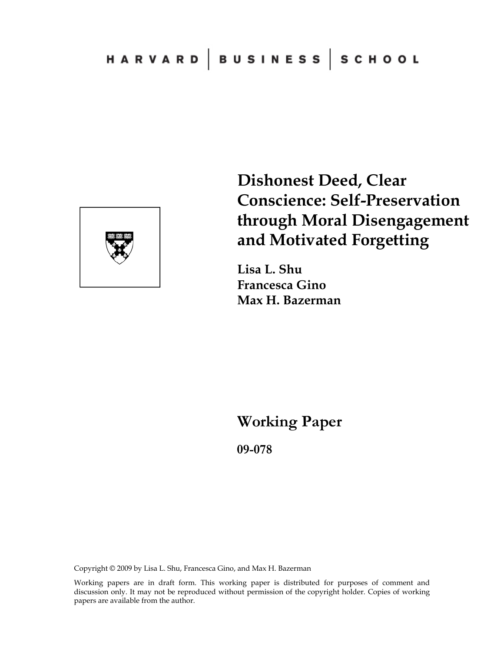

# **Dishonest Deed, Clear Conscience: Self-Preservation through Moral Disengagement and Motivated Forgetting**

**Lisa L. Shu Francesca Gino Max H. Bazerman** 

**Working Paper** 

**09-078**

Copyright © 2009 by Lisa L. Shu, Francesca Gino, and Max H. Bazerman

Working papers are in draft form. This working paper is distributed for purposes of comment and discussion only. It may not be reproduced without permission of the copyright holder. Copies of working papers are available from the author.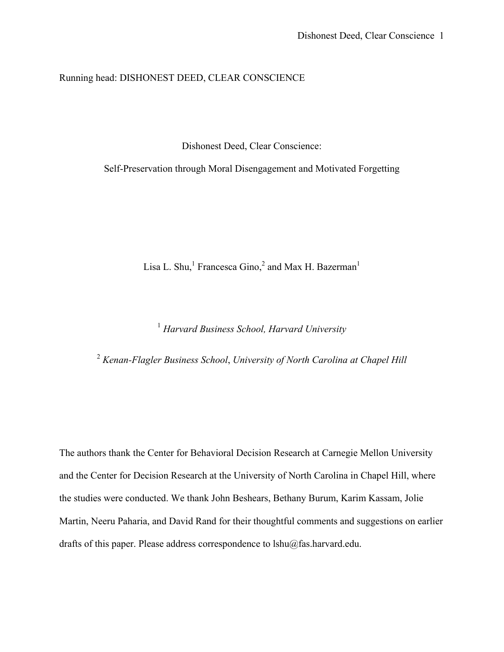# Running head: DISHONEST DEED, CLEAR CONSCIENCE

Dishonest Deed, Clear Conscience:

Self-Preservation through Moral Disengagement and Motivated Forgetting

Lisa L. Shu,<sup>1</sup> Francesca Gino,<sup>2</sup> and Max H. Bazerman<sup>1</sup>

<sup>1</sup> *Harvard Business School, Harvard University*

<sup>2</sup> *Kenan-Flagler Business School*, *University of North Carolina at Chapel Hill*

The authors thank the Center for Behavioral Decision Research at Carnegie Mellon University and the Center for Decision Research at the University of North Carolina in Chapel Hill, where the studies were conducted. We thank John Beshears, Bethany Burum, Karim Kassam, Jolie Martin, Neeru Paharia, and David Rand for their thoughtful comments and suggestions on earlier drafts of this paper. Please address correspondence to  $lshu(\vec{a})$  fas.harvard.edu.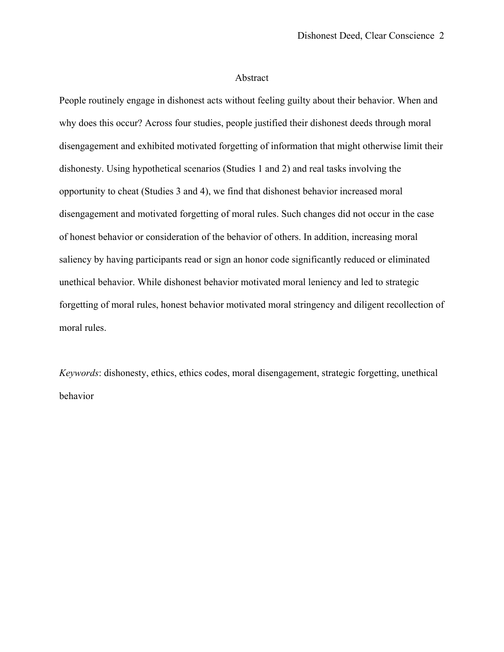## Abstract

People routinely engage in dishonest acts without feeling guilty about their behavior. When and why does this occur? Across four studies, people justified their dishonest deeds through moral disengagement and exhibited motivated forgetting of information that might otherwise limit their dishonesty. Using hypothetical scenarios (Studies 1 and 2) and real tasks involving the opportunity to cheat (Studies 3 and 4), we find that dishonest behavior increased moral disengagement and motivated forgetting of moral rules. Such changes did not occur in the case of honest behavior or consideration of the behavior of others. In addition, increasing moral saliency by having participants read or sign an honor code significantly reduced or eliminated unethical behavior. While dishonest behavior motivated moral leniency and led to strategic forgetting of moral rules, honest behavior motivated moral stringency and diligent recollection of moral rules.

*Keywords*: dishonesty, ethics, ethics codes, moral disengagement, strategic forgetting, unethical behavior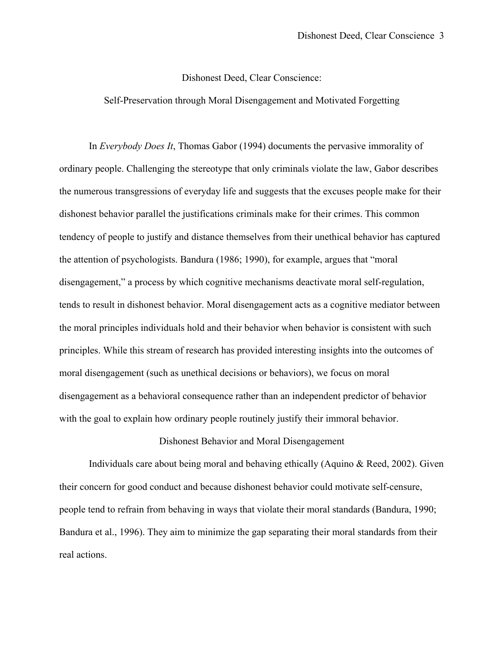## Dishonest Deed, Clear Conscience:

# Self-Preservation through Moral Disengagement and Motivated Forgetting

In *Everybody Does It*, Thomas Gabor (1994) documents the pervasive immorality of ordinary people. Challenging the stereotype that only criminals violate the law, Gabor describes the numerous transgressions of everyday life and suggests that the excuses people make for their dishonest behavior parallel the justifications criminals make for their crimes. This common tendency of people to justify and distance themselves from their unethical behavior has captured the attention of psychologists. Bandura (1986; 1990), for example, argues that "moral disengagement," a process by which cognitive mechanisms deactivate moral self-regulation, tends to result in dishonest behavior. Moral disengagement acts as a cognitive mediator between the moral principles individuals hold and their behavior when behavior is consistent with such principles. While this stream of research has provided interesting insights into the outcomes of moral disengagement (such as unethical decisions or behaviors), we focus on moral disengagement as a behavioral consequence rather than an independent predictor of behavior with the goal to explain how ordinary people routinely justify their immoral behavior.

# Dishonest Behavior and Moral Disengagement

Individuals care about being moral and behaving ethically (Aquino & Reed, 2002). Given their concern for good conduct and because dishonest behavior could motivate self-censure, people tend to refrain from behaving in ways that violate their moral standards (Bandura, 1990; Bandura et al., 1996). They aim to minimize the gap separating their moral standards from their real actions.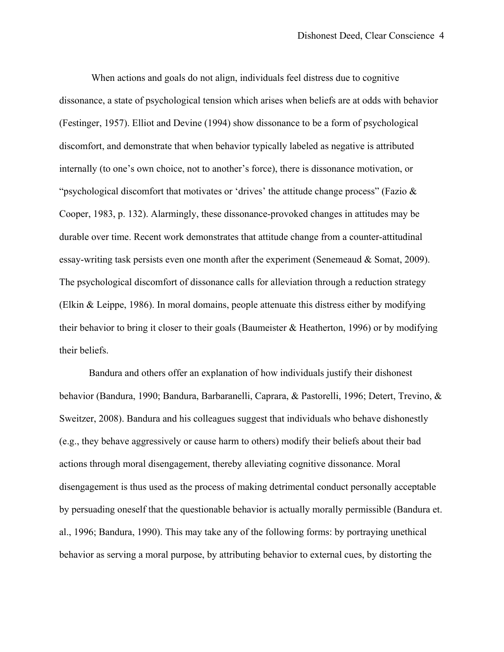When actions and goals do not align, individuals feel distress due to cognitive dissonance, a state of psychological tension which arises when beliefs are at odds with behavior (Festinger, 1957). Elliot and Devine (1994) show dissonance to be a form of psychological discomfort, and demonstrate that when behavior typically labeled as negative is attributed internally (to one's own choice, not to another's force), there is dissonance motivation, or "psychological discomfort that motivates or 'drives' the attitude change process" (Fazio & Cooper, 1983, p. 132). Alarmingly, these dissonance-provoked changes in attitudes may be durable over time. Recent work demonstrates that attitude change from a counter-attitudinal essay-writing task persists even one month after the experiment (Senemeaud & Somat, 2009). The psychological discomfort of dissonance calls for alleviation through a reduction strategy (Elkin & Leippe, 1986). In moral domains, people attenuate this distress either by modifying their behavior to bring it closer to their goals (Baumeister  $&$  Heatherton, 1996) or by modifying their beliefs.

Bandura and others offer an explanation of how individuals justify their dishonest behavior (Bandura, 1990; Bandura, Barbaranelli, Caprara, & Pastorelli, 1996; Detert, Trevino, & Sweitzer, 2008). Bandura and his colleagues suggest that individuals who behave dishonestly (e.g., they behave aggressively or cause harm to others) modify their beliefs about their bad actions through moral disengagement, thereby alleviating cognitive dissonance. Moral disengagement is thus used as the process of making detrimental conduct personally acceptable by persuading oneself that the questionable behavior is actually morally permissible (Bandura et. al., 1996; Bandura, 1990). This may take any of the following forms: by portraying unethical behavior as serving a moral purpose, by attributing behavior to external cues, by distorting the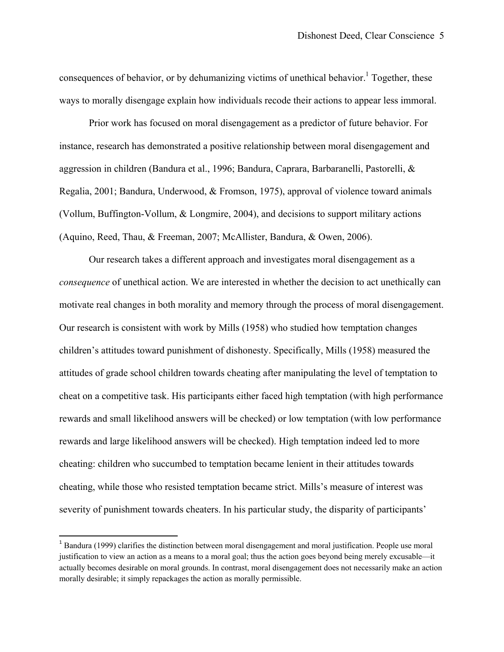consequences of behavior, or by dehumanizing victims of unethical behavior.<sup>1</sup> Together, these ways to morally disengage explain how individuals recode their actions to appear less immoral.

Prior work has focused on moral disengagement as a predictor of future behavior. For instance, research has demonstrated a positive relationship between moral disengagement and aggression in children (Bandura et al., 1996; Bandura, Caprara, Barbaranelli, Pastorelli, & Regalia, 2001; Bandura, Underwood, & Fromson, 1975), approval of violence toward animals (Vollum, Buffington-Vollum, & Longmire, 2004), and decisions to support military actions (Aquino, Reed, Thau, & Freeman, 2007; McAllister, Bandura, & Owen, 2006).

Our research takes a different approach and investigates moral disengagement as a *consequence* of unethical action. We are interested in whether the decision to act unethically can motivate real changes in both morality and memory through the process of moral disengagement. Our research is consistent with work by Mills (1958) who studied how temptation changes children's attitudes toward punishment of dishonesty. Specifically, Mills (1958) measured the attitudes of grade school children towards cheating after manipulating the level of temptation to cheat on a competitive task. His participants either faced high temptation (with high performance rewards and small likelihood answers will be checked) or low temptation (with low performance rewards and large likelihood answers will be checked). High temptation indeed led to more cheating: children who succumbed to temptation became lenient in their attitudes towards cheating, while those who resisted temptation became strict. Mills's measure of interest was severity of punishment towards cheaters. In his particular study, the disparity of participants'

 $1$  Bandura (1999) clarifies the distinction between moral disengagement and moral justification. People use moral justification to view an action as a means to a moral goal; thus the action goes beyond being merely excusable—it actually becomes desirable on moral grounds. In contrast, moral disengagement does not necessarily make an action morally desirable; it simply repackages the action as morally permissible.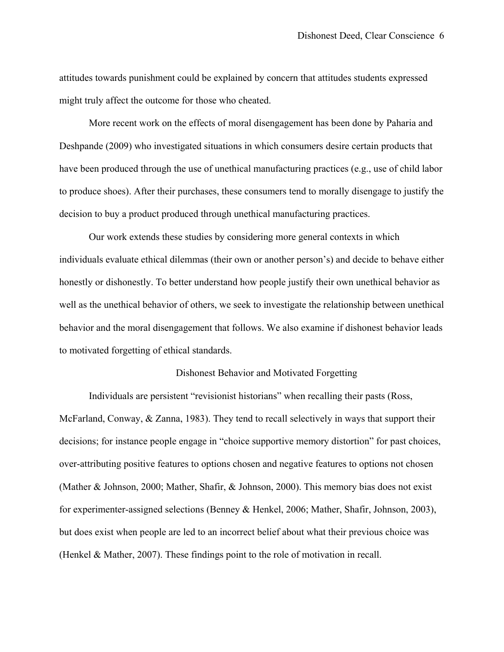attitudes towards punishment could be explained by concern that attitudes students expressed might truly affect the outcome for those who cheated.

More recent work on the effects of moral disengagement has been done by Paharia and Deshpande (2009) who investigated situations in which consumers desire certain products that have been produced through the use of unethical manufacturing practices (e.g., use of child labor to produce shoes). After their purchases, these consumers tend to morally disengage to justify the decision to buy a product produced through unethical manufacturing practices.

Our work extends these studies by considering more general contexts in which individuals evaluate ethical dilemmas (their own or another person's) and decide to behave either honestly or dishonestly. To better understand how people justify their own unethical behavior as well as the unethical behavior of others, we seek to investigate the relationship between unethical behavior and the moral disengagement that follows. We also examine if dishonest behavior leads to motivated forgetting of ethical standards.

# Dishonest Behavior and Motivated Forgetting

Individuals are persistent "revisionist historians" when recalling their pasts (Ross, McFarland, Conway, & Zanna, 1983). They tend to recall selectively in ways that support their decisions; for instance people engage in "choice supportive memory distortion" for past choices, over-attributing positive features to options chosen and negative features to options not chosen (Mather & Johnson, 2000; Mather, Shafir, & Johnson, 2000). This memory bias does not exist for experimenter-assigned selections (Benney & Henkel, 2006; Mather, Shafir, Johnson, 2003), but does exist when people are led to an incorrect belief about what their previous choice was (Henkel & Mather, 2007). These findings point to the role of motivation in recall.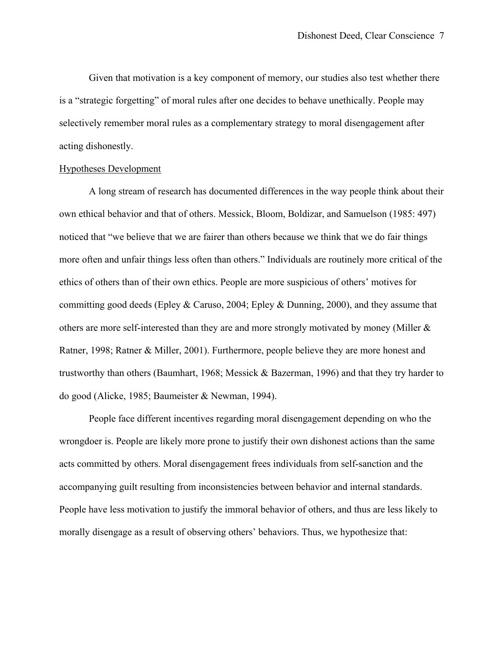Given that motivation is a key component of memory, our studies also test whether there is a "strategic forgetting" of moral rules after one decides to behave unethically. People may selectively remember moral rules as a complementary strategy to moral disengagement after acting dishonestly.

#### Hypotheses Development

 A long stream of research has documented differences in the way people think about their own ethical behavior and that of others. Messick, Bloom, Boldizar, and Samuelson (1985: 497) noticed that "we believe that we are fairer than others because we think that we do fair things more often and unfair things less often than others." Individuals are routinely more critical of the ethics of others than of their own ethics. People are more suspicious of others' motives for committing good deeds (Epley & Caruso, 2004; Epley & Dunning, 2000), and they assume that others are more self-interested than they are and more strongly motivated by money (Miller & Ratner, 1998; Ratner & Miller, 2001). Furthermore, people believe they are more honest and trustworthy than others (Baumhart, 1968; Messick & Bazerman, 1996) and that they try harder to do good (Alicke, 1985; Baumeister & Newman, 1994).

People face different incentives regarding moral disengagement depending on who the wrongdoer is. People are likely more prone to justify their own dishonest actions than the same acts committed by others. Moral disengagement frees individuals from self-sanction and the accompanying guilt resulting from inconsistencies between behavior and internal standards. People have less motivation to justify the immoral behavior of others, and thus are less likely to morally disengage as a result of observing others' behaviors. Thus, we hypothesize that: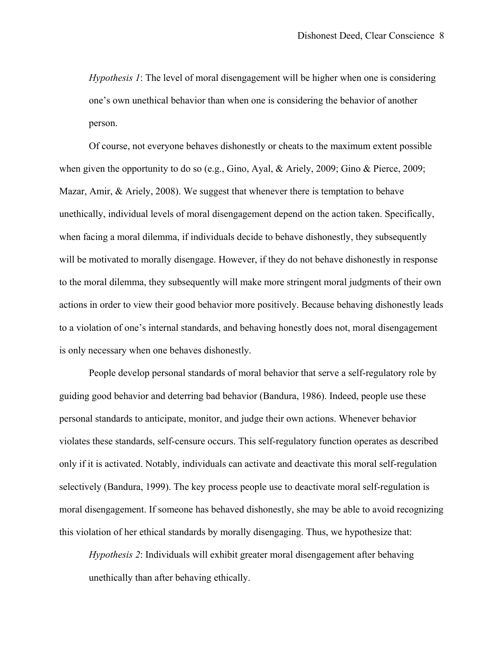*Hypothesis 1*: The level of moral disengagement will be higher when one is considering one's own unethical behavior than when one is considering the behavior of another person.

Of course, not everyone behaves dishonestly or cheats to the maximum extent possible when given the opportunity to do so (e.g., Gino, Ayal, & Ariely, 2009; Gino & Pierce, 2009; Mazar, Amir, & Ariely, 2008). We suggest that whenever there is temptation to behave unethically, individual levels of moral disengagement depend on the action taken. Specifically, when facing a moral dilemma, if individuals decide to behave dishonestly, they subsequently will be motivated to morally disengage. However, if they do not behave dishonestly in response to the moral dilemma, they subsequently will make more stringent moral judgments of their own actions in order to view their good behavior more positively. Because behaving dishonestly leads to a violation of one's internal standards, and behaving honestly does not, moral disengagement is only necessary when one behaves dishonestly.

People develop personal standards of moral behavior that serve a self-regulatory role by guiding good behavior and deterring bad behavior (Bandura, 1986). Indeed, people use these personal standards to anticipate, monitor, and judge their own actions. Whenever behavior violates these standards, self-censure occurs. This self-regulatory function operates as described only if it is activated. Notably, individuals can activate and deactivate this moral self-regulation selectively (Bandura, 1999). The key process people use to deactivate moral self-regulation is moral disengagement. If someone has behaved dishonestly, she may be able to avoid recognizing this violation of her ethical standards by morally disengaging. Thus, we hypothesize that:

*Hypothesis 2*: Individuals will exhibit greater moral disengagement after behaving unethically than after behaving ethically.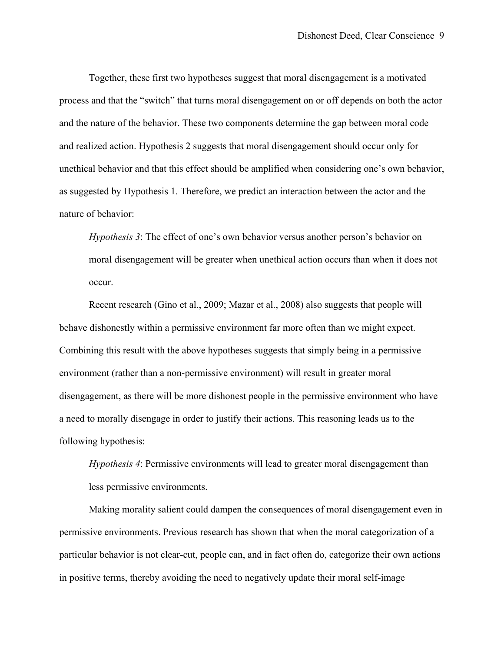Together, these first two hypotheses suggest that moral disengagement is a motivated process and that the "switch" that turns moral disengagement on or off depends on both the actor and the nature of the behavior. These two components determine the gap between moral code and realized action. Hypothesis 2 suggests that moral disengagement should occur only for unethical behavior and that this effect should be amplified when considering one's own behavior, as suggested by Hypothesis 1. Therefore, we predict an interaction between the actor and the nature of behavior:

*Hypothesis 3*: The effect of one's own behavior versus another person's behavior on moral disengagement will be greater when unethical action occurs than when it does not occur.

Recent research (Gino et al., 2009; Mazar et al., 2008) also suggests that people will behave dishonestly within a permissive environment far more often than we might expect. Combining this result with the above hypotheses suggests that simply being in a permissive environment (rather than a non-permissive environment) will result in greater moral disengagement, as there will be more dishonest people in the permissive environment who have a need to morally disengage in order to justify their actions. This reasoning leads us to the following hypothesis:

*Hypothesis 4*: Permissive environments will lead to greater moral disengagement than less permissive environments.

Making morality salient could dampen the consequences of moral disengagement even in permissive environments. Previous research has shown that when the moral categorization of a particular behavior is not clear-cut, people can, and in fact often do, categorize their own actions in positive terms, thereby avoiding the need to negatively update their moral self-image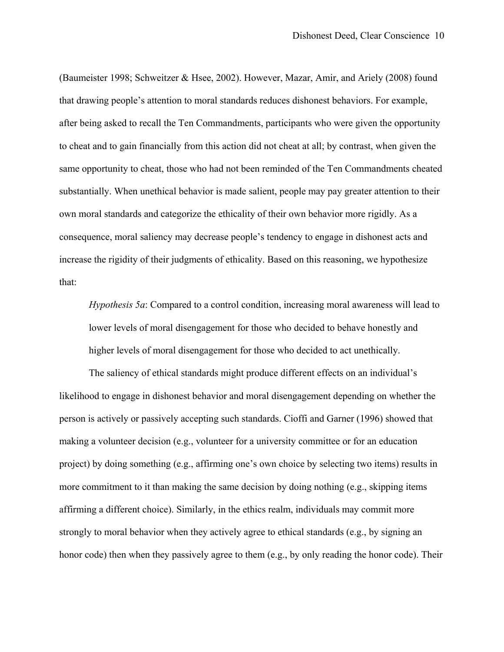(Baumeister 1998; Schweitzer & Hsee, 2002). However, Mazar, Amir, and Ariely (2008) found that drawing people's attention to moral standards reduces dishonest behaviors. For example, after being asked to recall the Ten Commandments, participants who were given the opportunity to cheat and to gain financially from this action did not cheat at all; by contrast, when given the same opportunity to cheat, those who had not been reminded of the Ten Commandments cheated substantially. When unethical behavior is made salient, people may pay greater attention to their own moral standards and categorize the ethicality of their own behavior more rigidly. As a consequence, moral saliency may decrease people's tendency to engage in dishonest acts and increase the rigidity of their judgments of ethicality. Based on this reasoning, we hypothesize that:

*Hypothesis 5a*: Compared to a control condition, increasing moral awareness will lead to lower levels of moral disengagement for those who decided to behave honestly and higher levels of moral disengagement for those who decided to act unethically.

The saliency of ethical standards might produce different effects on an individual's likelihood to engage in dishonest behavior and moral disengagement depending on whether the person is actively or passively accepting such standards. Cioffi and Garner (1996) showed that making a volunteer decision (e.g., volunteer for a university committee or for an education project) by doing something (e.g., affirming one's own choice by selecting two items) results in more commitment to it than making the same decision by doing nothing (e.g., skipping items affirming a different choice). Similarly, in the ethics realm, individuals may commit more strongly to moral behavior when they actively agree to ethical standards (e.g., by signing an honor code) then when they passively agree to them (e.g., by only reading the honor code). Their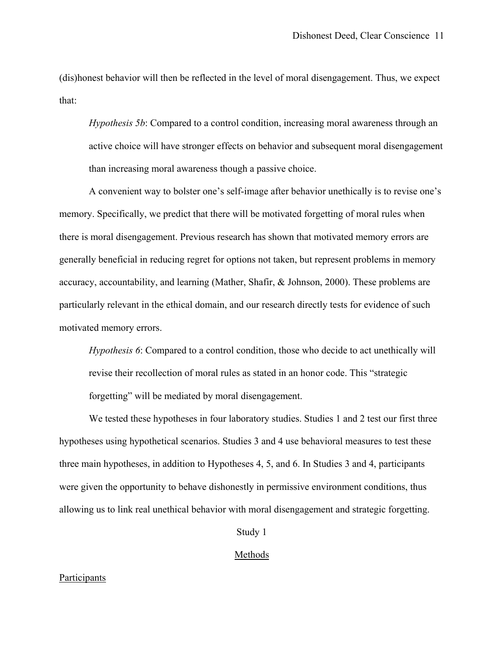(dis)honest behavior will then be reflected in the level of moral disengagement. Thus, we expect that:

*Hypothesis 5b*: Compared to a control condition, increasing moral awareness through an active choice will have stronger effects on behavior and subsequent moral disengagement than increasing moral awareness though a passive choice.

A convenient way to bolster one's self-image after behavior unethically is to revise one's memory. Specifically, we predict that there will be motivated forgetting of moral rules when there is moral disengagement. Previous research has shown that motivated memory errors are generally beneficial in reducing regret for options not taken, but represent problems in memory accuracy, accountability, and learning (Mather, Shafir, & Johnson, 2000). These problems are particularly relevant in the ethical domain, and our research directly tests for evidence of such motivated memory errors.

*Hypothesis 6*: Compared to a control condition, those who decide to act unethically will revise their recollection of moral rules as stated in an honor code. This "strategic forgetting" will be mediated by moral disengagement.

We tested these hypotheses in four laboratory studies. Studies 1 and 2 test our first three hypotheses using hypothetical scenarios. Studies 3 and 4 use behavioral measures to test these three main hypotheses, in addition to Hypotheses 4, 5, and 6. In Studies 3 and 4, participants were given the opportunity to behave dishonestly in permissive environment conditions, thus allowing us to link real unethical behavior with moral disengagement and strategic forgetting.

Study 1

#### Methods

## Participants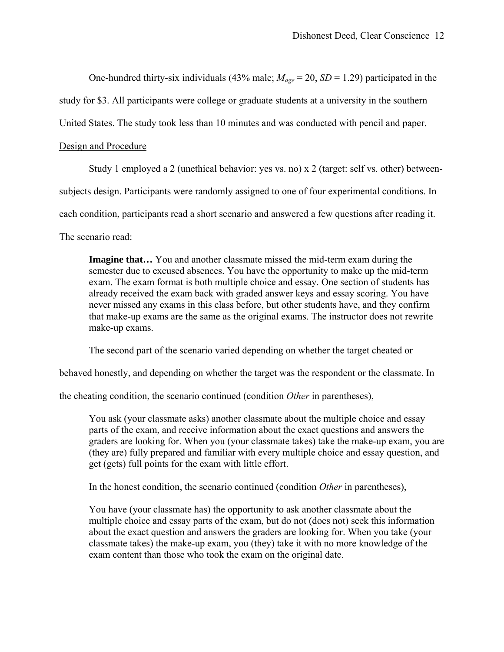One-hundred thirty-six individuals (43% male;  $M_{\text{age}} = 20$ ,  $SD = 1.29$ ) participated in the

study for \$3. All participants were college or graduate students at a university in the southern

United States. The study took less than 10 minutes and was conducted with pencil and paper.

## Design and Procedure

Study 1 employed a 2 (unethical behavior: yes vs. no) x 2 (target: self vs. other) between-

subjects design. Participants were randomly assigned to one of four experimental conditions. In

each condition, participants read a short scenario and answered a few questions after reading it.

The scenario read:

**Imagine that…** You and another classmate missed the mid-term exam during the semester due to excused absences. You have the opportunity to make up the mid-term exam. The exam format is both multiple choice and essay. One section of students has already received the exam back with graded answer keys and essay scoring. You have never missed any exams in this class before, but other students have, and they confirm that make-up exams are the same as the original exams. The instructor does not rewrite make-up exams.

The second part of the scenario varied depending on whether the target cheated or

behaved honestly, and depending on whether the target was the respondent or the classmate. In

the cheating condition, the scenario continued (condition *Other* in parentheses),

You ask (your classmate asks) another classmate about the multiple choice and essay parts of the exam, and receive information about the exact questions and answers the graders are looking for. When you (your classmate takes) take the make-up exam, you are (they are) fully prepared and familiar with every multiple choice and essay question, and get (gets) full points for the exam with little effort.

In the honest condition, the scenario continued (condition *Other* in parentheses),

You have (your classmate has) the opportunity to ask another classmate about the multiple choice and essay parts of the exam, but do not (does not) seek this information about the exact question and answers the graders are looking for. When you take (your classmate takes) the make-up exam, you (they) take it with no more knowledge of the exam content than those who took the exam on the original date.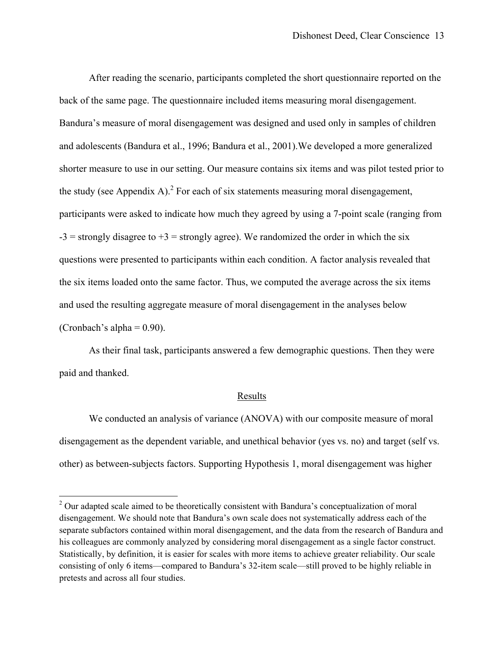After reading the scenario, participants completed the short questionnaire reported on the back of the same page. The questionnaire included items measuring moral disengagement. Bandura's measure of moral disengagement was designed and used only in samples of children and adolescents (Bandura et al., 1996; Bandura et al., 2001).We developed a more generalized shorter measure to use in our setting. Our measure contains six items and was pilot tested prior to the study (see Appendix A).<sup>2</sup> For each of six statements measuring moral disengagement, participants were asked to indicate how much they agreed by using a 7-point scale (ranging from  $-3$  = strongly disagree to  $+3$  = strongly agree). We randomized the order in which the six questions were presented to participants within each condition. A factor analysis revealed that the six items loaded onto the same factor. Thus, we computed the average across the six items and used the resulting aggregate measure of moral disengagement in the analyses below (Cronbach's alpha  $= 0.90$ ).

As their final task, participants answered a few demographic questions. Then they were paid and thanked.

#### Results

We conducted an analysis of variance (ANOVA) with our composite measure of moral disengagement as the dependent variable, and unethical behavior (yes vs. no) and target (self vs. other) as between-subjects factors. Supporting Hypothesis 1, moral disengagement was higher

 $2$  Our adapted scale aimed to be theoretically consistent with Bandura's conceptualization of moral disengagement. We should note that Bandura's own scale does not systematically address each of the separate subfactors contained within moral disengagement, and the data from the research of Bandura and his colleagues are commonly analyzed by considering moral disengagement as a single factor construct. Statistically, by definition, it is easier for scales with more items to achieve greater reliability. Our scale consisting of only 6 items—compared to Bandura's 32-item scale—still proved to be highly reliable in pretests and across all four studies.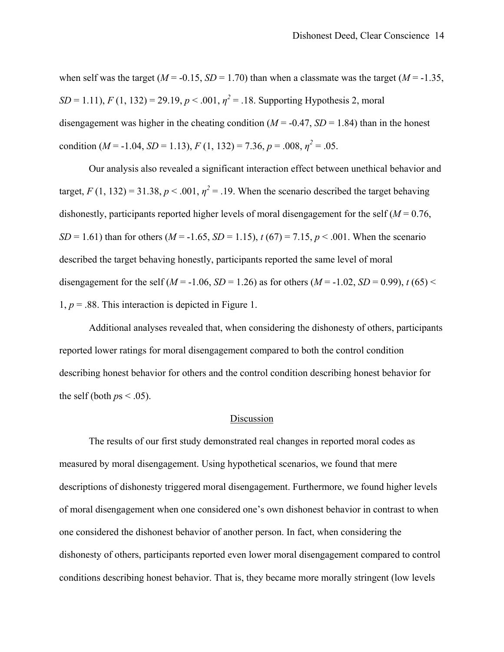when self was the target ( $M = -0.15$ ,  $SD = 1.70$ ) than when a classmate was the target ( $M = -1.35$ , *SD* = 1.11), *F* (1, 132) = 29.19, *p* < .001,  $\eta^2$  = .18. Supporting Hypothesis 2, moral disengagement was higher in the cheating condition ( $M = -0.47$ ,  $SD = 1.84$ ) than in the honest condition ( $M = -1.04$ ,  $SD = 1.13$ ),  $F(1, 132) = 7.36$ ,  $p = .008$ ,  $\eta^2 = .05$ .

Our analysis also revealed a significant interaction effect between unethical behavior and target,  $F(1, 132) = 31.38$ ,  $p < .001$ ,  $\eta^2 = .19$ . When the scenario described the target behaving dishonestly, participants reported higher levels of moral disengagement for the self  $(M = 0.76)$ , *SD* = 1.61) than for others (*M* = -1.65, *SD* = 1.15),  $t(67)$  = 7.15,  $p < .001$ . When the scenario described the target behaving honestly, participants reported the same level of moral disengagement for the self ( $M = -1.06$ ,  $SD = 1.26$ ) as for others ( $M = -1.02$ ,  $SD = 0.99$ ),  $t (65)$  <  $1, p = .88$ . This interaction is depicted in Figure 1.

Additional analyses revealed that, when considering the dishonesty of others, participants reported lower ratings for moral disengagement compared to both the control condition describing honest behavior for others and the control condition describing honest behavior for the self (both  $ps < .05$ ).

#### Discussion

The results of our first study demonstrated real changes in reported moral codes as measured by moral disengagement. Using hypothetical scenarios, we found that mere descriptions of dishonesty triggered moral disengagement. Furthermore, we found higher levels of moral disengagement when one considered one's own dishonest behavior in contrast to when one considered the dishonest behavior of another person. In fact, when considering the dishonesty of others, participants reported even lower moral disengagement compared to control conditions describing honest behavior. That is, they became more morally stringent (low levels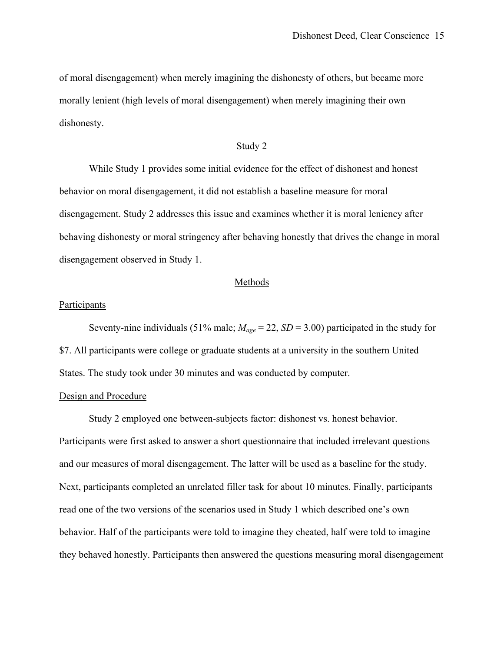of moral disengagement) when merely imagining the dishonesty of others, but became more morally lenient (high levels of moral disengagement) when merely imagining their own dishonesty.

# Study 2

 While Study 1 provides some initial evidence for the effect of dishonest and honest behavior on moral disengagement, it did not establish a baseline measure for moral disengagement. Study 2 addresses this issue and examines whether it is moral leniency after behaving dishonesty or moral stringency after behaving honestly that drives the change in moral disengagement observed in Study 1.

#### Methods

## Participants

Seventy-nine individuals (51% male;  $M_{age} = 22$ ,  $SD = 3.00$ ) participated in the study for \$7. All participants were college or graduate students at a university in the southern United States. The study took under 30 minutes and was conducted by computer.

## Design and Procedure

Study 2 employed one between-subjects factor: dishonest vs. honest behavior. Participants were first asked to answer a short questionnaire that included irrelevant questions and our measures of moral disengagement. The latter will be used as a baseline for the study. Next, participants completed an unrelated filler task for about 10 minutes. Finally, participants read one of the two versions of the scenarios used in Study 1 which described one's own behavior. Half of the participants were told to imagine they cheated, half were told to imagine they behaved honestly. Participants then answered the questions measuring moral disengagement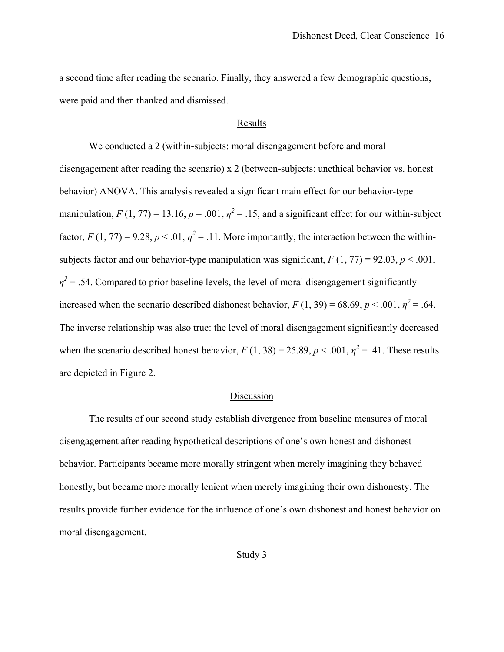a second time after reading the scenario. Finally, they answered a few demographic questions, were paid and then thanked and dismissed.

## Results

We conducted a 2 (within-subjects: moral disengagement before and moral disengagement after reading the scenario) x 2 (between-subjects: unethical behavior vs. honest behavior) ANOVA. This analysis revealed a significant main effect for our behavior-type manipulation,  $F(1, 77) = 13.16$ ,  $p = .001$ ,  $p^2 = .15$ , and a significant effect for our within-subject factor,  $F(1, 77) = 9.28$ ,  $p < 0.01$ ,  $\eta^2 = 0.11$ . More importantly, the interaction between the withinsubjects factor and our behavior-type manipulation was significant,  $F(1, 77) = 92.03$ ,  $p < .001$ ,  $\eta^2$  = .54. Compared to prior baseline levels, the level of moral disengagement significantly increased when the scenario described dishonest behavior,  $F(1, 39) = 68.69$ ,  $p < .001$ ,  $\eta^2 = .64$ . The inverse relationship was also true: the level of moral disengagement significantly decreased when the scenario described honest behavior,  $F(1, 38) = 25.89$ ,  $p < .001$ ,  $\eta^2 = .41$ . These results are depicted in Figure 2.

#### Discussion

The results of our second study establish divergence from baseline measures of moral disengagement after reading hypothetical descriptions of one's own honest and dishonest behavior. Participants became more morally stringent when merely imagining they behaved honestly, but became more morally lenient when merely imagining their own dishonesty. The results provide further evidence for the influence of one's own dishonest and honest behavior on moral disengagement.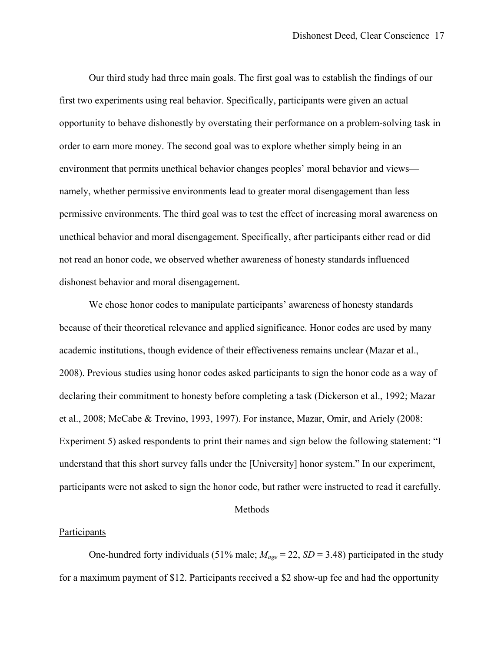Our third study had three main goals. The first goal was to establish the findings of our first two experiments using real behavior. Specifically, participants were given an actual opportunity to behave dishonestly by overstating their performance on a problem-solving task in order to earn more money. The second goal was to explore whether simply being in an environment that permits unethical behavior changes peoples' moral behavior and views namely, whether permissive environments lead to greater moral disengagement than less permissive environments. The third goal was to test the effect of increasing moral awareness on unethical behavior and moral disengagement. Specifically, after participants either read or did not read an honor code, we observed whether awareness of honesty standards influenced dishonest behavior and moral disengagement.

We chose honor codes to manipulate participants' awareness of honesty standards because of their theoretical relevance and applied significance. Honor codes are used by many academic institutions, though evidence of their effectiveness remains unclear (Mazar et al., 2008). Previous studies using honor codes asked participants to sign the honor code as a way of declaring their commitment to honesty before completing a task (Dickerson et al., 1992; Mazar et al., 2008; McCabe & Trevino, 1993, 1997). For instance, Mazar, Omir, and Ariely (2008: Experiment 5) asked respondents to print their names and sign below the following statement: "I understand that this short survey falls under the [University] honor system." In our experiment, participants were not asked to sign the honor code, but rather were instructed to read it carefully.

#### Methods

#### **Participants**

One-hundred forty individuals (51% male;  $M_{\text{age}} = 22$ , *SD* = 3.48) participated in the study for a maximum payment of \$12. Participants received a \$2 show-up fee and had the opportunity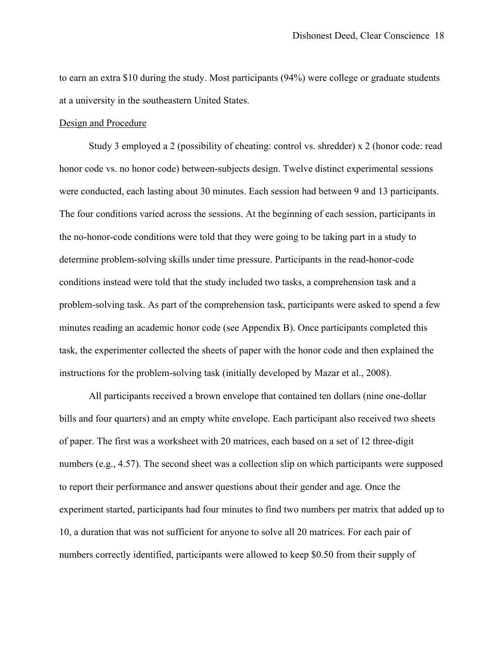to earn an extra \$10 during the study. Most participants (94%) were college or graduate students at a university in the southeastern United States.

## Design and Procedure

 Study 3 employed a 2 (possibility of cheating: control vs. shredder) x 2 (honor code: read honor code vs. no honor code) between-subjects design. Twelve distinct experimental sessions were conducted, each lasting about 30 minutes. Each session had between 9 and 13 participants. The four conditions varied across the sessions. At the beginning of each session, participants in the no-honor-code conditions were told that they were going to be taking part in a study to determine problem-solving skills under time pressure. Participants in the read-honor-code conditions instead were told that the study included two tasks, a comprehension task and a problem-solving task. As part of the comprehension task, participants were asked to spend a few minutes reading an academic honor code (see Appendix B). Once participants completed this task, the experimenter collected the sheets of paper with the honor code and then explained the instructions for the problem-solving task (initially developed by Mazar et al., 2008).

All participants received a brown envelope that contained ten dollars (nine one-dollar bills and four quarters) and an empty white envelope. Each participant also received two sheets of paper. The first was a worksheet with 20 matrices, each based on a set of 12 three-digit numbers (e.g., 4.57). The second sheet was a collection slip on which participants were supposed to report their performance and answer questions about their gender and age. Once the experiment started, participants had four minutes to find two numbers per matrix that added up to 10, a duration that was not sufficient for anyone to solve all 20 matrices. For each pair of numbers correctly identified, participants were allowed to keep \$0.50 from their supply of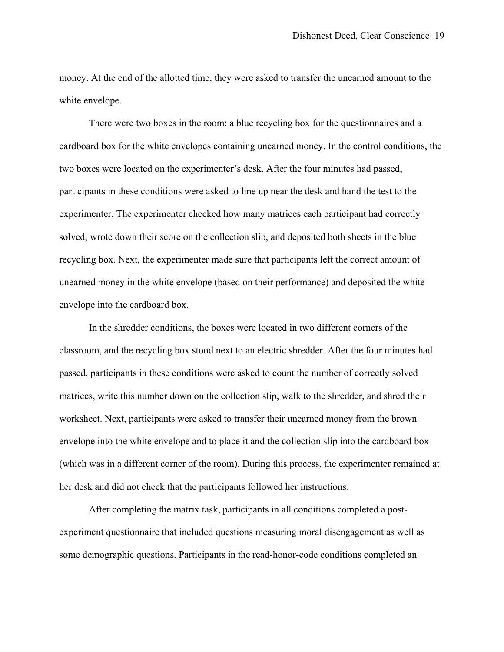money. At the end of the allotted time, they were asked to transfer the unearned amount to the white envelope.

There were two boxes in the room: a blue recycling box for the questionnaires and a cardboard box for the white envelopes containing unearned money. In the control conditions, the two boxes were located on the experimenter's desk. After the four minutes had passed, participants in these conditions were asked to line up near the desk and hand the test to the experimenter. The experimenter checked how many matrices each participant had correctly solved, wrote down their score on the collection slip, and deposited both sheets in the blue recycling box. Next, the experimenter made sure that participants left the correct amount of unearned money in the white envelope (based on their performance) and deposited the white envelope into the cardboard box.

In the shredder conditions, the boxes were located in two different corners of the classroom, and the recycling box stood next to an electric shredder. After the four minutes had passed, participants in these conditions were asked to count the number of correctly solved matrices, write this number down on the collection slip, walk to the shredder, and shred their worksheet. Next, participants were asked to transfer their unearned money from the brown envelope into the white envelope and to place it and the collection slip into the cardboard box (which was in a different corner of the room). During this process, the experimenter remained at her desk and did not check that the participants followed her instructions.

After completing the matrix task, participants in all conditions completed a postexperiment questionnaire that included questions measuring moral disengagement as well as some demographic questions. Participants in the read-honor-code conditions completed an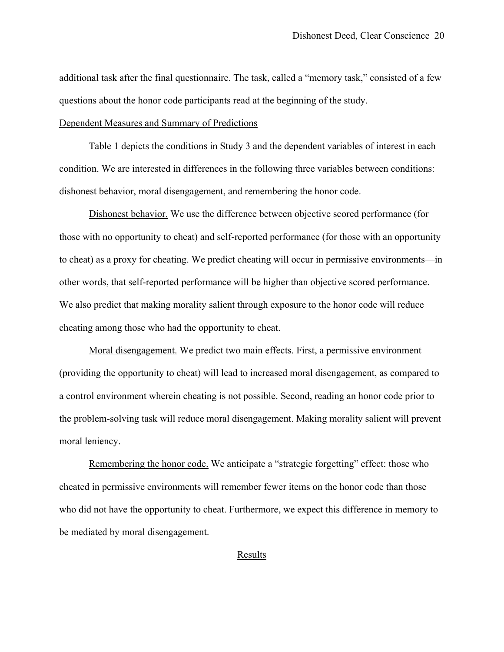additional task after the final questionnaire. The task, called a "memory task," consisted of a few questions about the honor code participants read at the beginning of the study.

## Dependent Measures and Summary of Predictions

 Table 1 depicts the conditions in Study 3 and the dependent variables of interest in each condition. We are interested in differences in the following three variables between conditions: dishonest behavior, moral disengagement, and remembering the honor code.

Dishonest behavior. We use the difference between objective scored performance (for those with no opportunity to cheat) and self-reported performance (for those with an opportunity to cheat) as a proxy for cheating. We predict cheating will occur in permissive environments—in other words, that self-reported performance will be higher than objective scored performance. We also predict that making morality salient through exposure to the honor code will reduce cheating among those who had the opportunity to cheat.

Moral disengagement. We predict two main effects. First, a permissive environment (providing the opportunity to cheat) will lead to increased moral disengagement, as compared to a control environment wherein cheating is not possible. Second, reading an honor code prior to the problem-solving task will reduce moral disengagement. Making morality salient will prevent moral leniency.

Remembering the honor code. We anticipate a "strategic forgetting" effect: those who cheated in permissive environments will remember fewer items on the honor code than those who did not have the opportunity to cheat. Furthermore, we expect this difference in memory to be mediated by moral disengagement.

## **Results**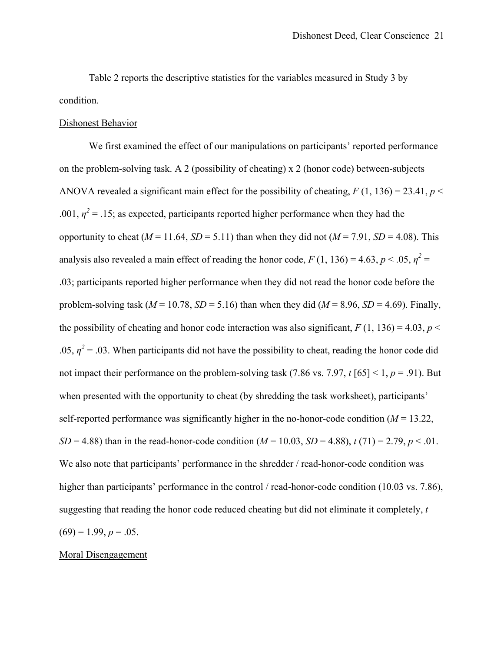Table 2 reports the descriptive statistics for the variables measured in Study 3 by condition.

## Dishonest Behavior

We first examined the effect of our manipulations on participants' reported performance on the problem-solving task. A 2 (possibility of cheating) x 2 (honor code) between-subjects ANOVA revealed a significant main effect for the possibility of cheating,  $F(1, 136) = 23.41$ ,  $p <$ .001,  $\eta^2$  = .15; as expected, participants reported higher performance when they had the opportunity to cheat  $(M = 11.64, SD = 5.11)$  than when they did not  $(M = 7.91, SD = 4.08)$ . This analysis also revealed a main effect of reading the honor code,  $F(1, 136) = 4.63$ ,  $p < .05$ ,  $\eta^2 =$ .03; participants reported higher performance when they did not read the honor code before the problem-solving task ( $M = 10.78$ ,  $SD = 5.16$ ) than when they did ( $M = 8.96$ ,  $SD = 4.69$ ). Finally, the possibility of cheating and honor code interaction was also significant,  $F(1, 136) = 4.03$ ,  $p <$ .05,  $\eta^2$  = .03. When participants did not have the possibility to cheat, reading the honor code did not impact their performance on the problem-solving task (7.86 vs. 7.97,  $t$  [65] < 1,  $p = .91$ ). But when presented with the opportunity to cheat (by shredding the task worksheet), participants' self-reported performance was significantly higher in the no-honor-code condition  $(M = 13.22)$ , *SD* = 4.88) than in the read-honor-code condition ( $M = 10.03$ , *SD* = 4.88), *t* (71) = 2.79, *p* < .01. We also note that participants' performance in the shredder / read-honor-code condition was higher than participants' performance in the control / read-honor-code condition (10.03 vs. 7.86), suggesting that reading the honor code reduced cheating but did not eliminate it completely, *t*   $(69) = 1.99, p = .05.$ 

## Moral Disengagement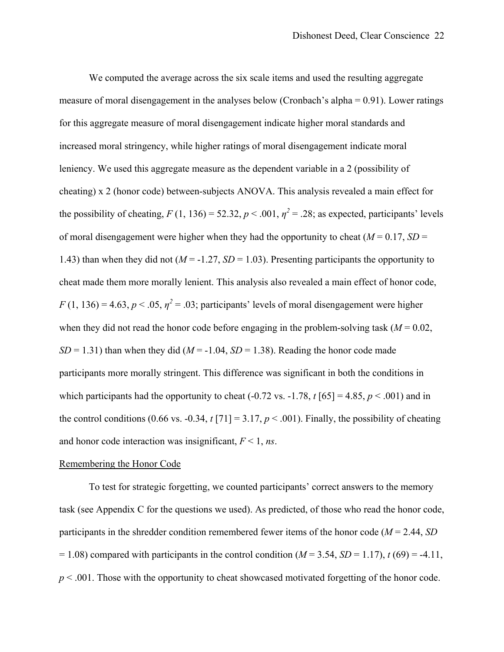We computed the average across the six scale items and used the resulting aggregate measure of moral disengagement in the analyses below (Cronbach's alpha = 0.91). Lower ratings for this aggregate measure of moral disengagement indicate higher moral standards and increased moral stringency, while higher ratings of moral disengagement indicate moral leniency. We used this aggregate measure as the dependent variable in a 2 (possibility of cheating) x 2 (honor code) between-subjects ANOVA. This analysis revealed a main effect for the possibility of cheating,  $F(1, 136) = 52.32$ ,  $p < .001$ ,  $\eta^2 = .28$ ; as expected, participants' levels of moral disengagement were higher when they had the opportunity to cheat  $(M = 0.17, SD =$ 1.43) than when they did not  $(M = -1.27, SD = 1.03)$ . Presenting participants the opportunity to cheat made them more morally lenient. This analysis also revealed a main effect of honor code,  $F(1, 136) = 4.63$ ,  $p < .05$ ,  $\eta^2 = .03$ ; participants' levels of moral disengagement were higher when they did not read the honor code before engaging in the problem-solving task  $(M = 0.02)$ , *SD* = 1.31) than when they did ( $M = -1.04$ , *SD* = 1.38). Reading the honor code made participants more morally stringent. This difference was significant in both the conditions in which participants had the opportunity to cheat  $(-0.72 \text{ vs. } -1.78, t \cdot 65) = 4.85, p < .001$ ) and in the control conditions (0.66 vs. -0.34,  $t$  [71] = 3.17,  $p$  < .001). Finally, the possibility of cheating and honor code interaction was insignificant, *F* < 1, *ns*.

#### Remembering the Honor Code

 To test for strategic forgetting, we counted participants' correct answers to the memory task (see Appendix C for the questions we used). As predicted, of those who read the honor code, participants in the shredder condition remembered fewer items of the honor code (*M* = 2.44, *SD*  $= 1.08$ ) compared with participants in the control condition ( $M = 3.54$ ,  $SD = 1.17$ ),  $t (69) = -4.11$ , *p* < .001. Those with the opportunity to cheat showcased motivated forgetting of the honor code.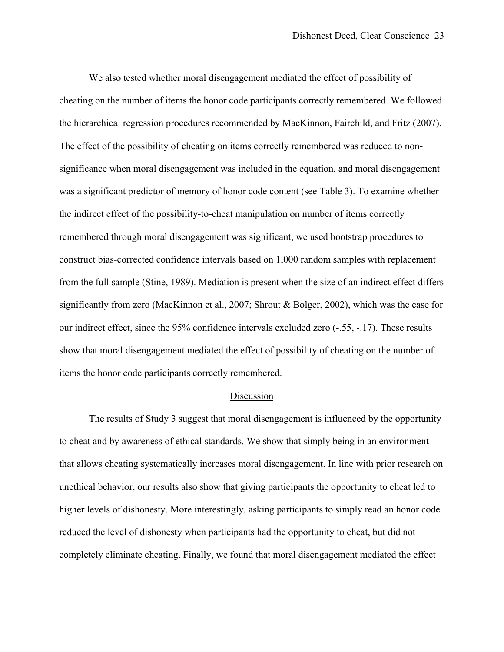We also tested whether moral disengagement mediated the effect of possibility of cheating on the number of items the honor code participants correctly remembered. We followed the hierarchical regression procedures recommended by MacKinnon, Fairchild, and Fritz (2007). The effect of the possibility of cheating on items correctly remembered was reduced to nonsignificance when moral disengagement was included in the equation, and moral disengagement was a significant predictor of memory of honor code content (see Table 3). To examine whether the indirect effect of the possibility-to-cheat manipulation on number of items correctly remembered through moral disengagement was significant, we used bootstrap procedures to construct bias-corrected confidence intervals based on 1,000 random samples with replacement from the full sample (Stine, 1989). Mediation is present when the size of an indirect effect differs significantly from zero (MacKinnon et al., 2007; Shrout & Bolger, 2002), which was the case for our indirect effect, since the 95% confidence intervals excluded zero (-.55, -.17). These results show that moral disengagement mediated the effect of possibility of cheating on the number of items the honor code participants correctly remembered.

#### Discussion

 The results of Study 3 suggest that moral disengagement is influenced by the opportunity to cheat and by awareness of ethical standards. We show that simply being in an environment that allows cheating systematically increases moral disengagement. In line with prior research on unethical behavior, our results also show that giving participants the opportunity to cheat led to higher levels of dishonesty. More interestingly, asking participants to simply read an honor code reduced the level of dishonesty when participants had the opportunity to cheat, but did not completely eliminate cheating. Finally, we found that moral disengagement mediated the effect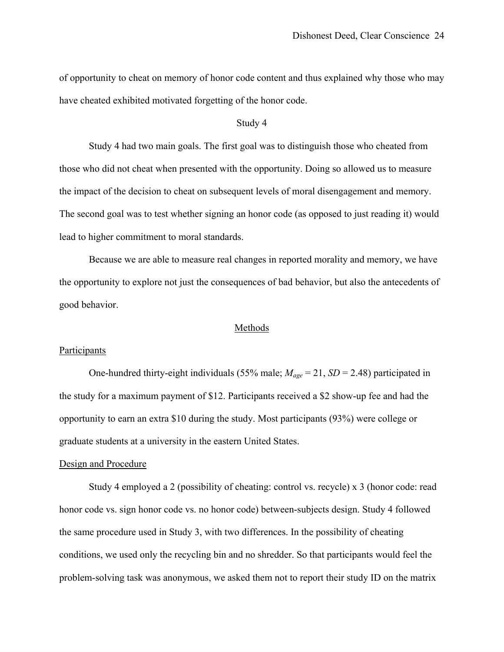of opportunity to cheat on memory of honor code content and thus explained why those who may have cheated exhibited motivated forgetting of the honor code.

## Study 4

 Study 4 had two main goals. The first goal was to distinguish those who cheated from those who did not cheat when presented with the opportunity. Doing so allowed us to measure the impact of the decision to cheat on subsequent levels of moral disengagement and memory. The second goal was to test whether signing an honor code (as opposed to just reading it) would lead to higher commitment to moral standards.

 Because we are able to measure real changes in reported morality and memory, we have the opportunity to explore not just the consequences of bad behavior, but also the antecedents of good behavior.

#### Methods

#### **Participants**

 One-hundred thirty-eight individuals (55% male; *Mage* = 21, *SD* = 2.48) participated in the study for a maximum payment of \$12. Participants received a \$2 show-up fee and had the opportunity to earn an extra \$10 during the study. Most participants (93%) were college or graduate students at a university in the eastern United States.

## Design and Procedure

Study 4 employed a 2 (possibility of cheating: control vs. recycle) x 3 (honor code: read honor code vs. sign honor code vs. no honor code) between-subjects design. Study 4 followed the same procedure used in Study 3, with two differences. In the possibility of cheating conditions, we used only the recycling bin and no shredder. So that participants would feel the problem-solving task was anonymous, we asked them not to report their study ID on the matrix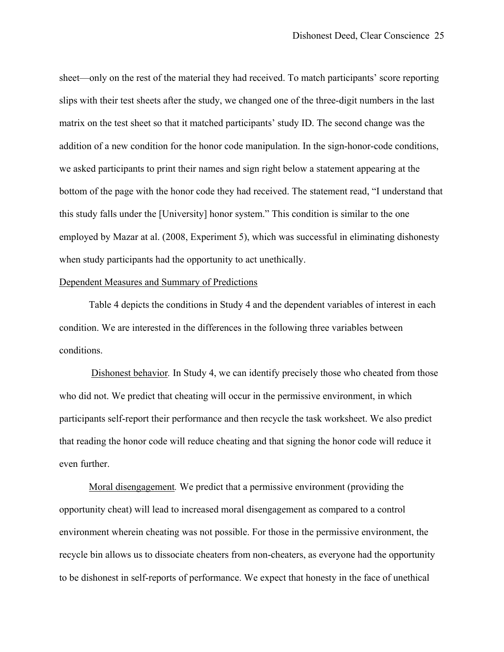sheet—only on the rest of the material they had received. To match participants' score reporting slips with their test sheets after the study, we changed one of the three-digit numbers in the last matrix on the test sheet so that it matched participants' study ID. The second change was the addition of a new condition for the honor code manipulation. In the sign-honor-code conditions, we asked participants to print their names and sign right below a statement appearing at the bottom of the page with the honor code they had received. The statement read, "I understand that this study falls under the [University] honor system." This condition is similar to the one employed by Mazar at al. (2008, Experiment 5), which was successful in eliminating dishonesty when study participants had the opportunity to act unethically.

#### Dependent Measures and Summary of Predictions

Table 4 depicts the conditions in Study 4 and the dependent variables of interest in each condition. We are interested in the differences in the following three variables between conditions.

 Dishonest behavior*.* In Study 4, we can identify precisely those who cheated from those who did not. We predict that cheating will occur in the permissive environment, in which participants self-report their performance and then recycle the task worksheet. We also predict that reading the honor code will reduce cheating and that signing the honor code will reduce it even further.

Moral disengagement*.* We predict that a permissive environment (providing the opportunity cheat) will lead to increased moral disengagement as compared to a control environment wherein cheating was not possible. For those in the permissive environment, the recycle bin allows us to dissociate cheaters from non-cheaters, as everyone had the opportunity to be dishonest in self-reports of performance. We expect that honesty in the face of unethical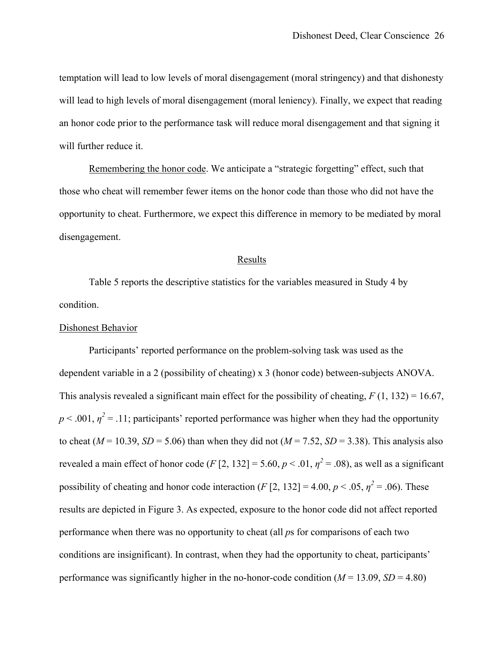temptation will lead to low levels of moral disengagement (moral stringency) and that dishonesty will lead to high levels of moral disengagement (moral leniency). Finally, we expect that reading an honor code prior to the performance task will reduce moral disengagement and that signing it will further reduce it.

Remembering the honor code. We anticipate a "strategic forgetting" effect, such that those who cheat will remember fewer items on the honor code than those who did not have the opportunity to cheat. Furthermore, we expect this difference in memory to be mediated by moral disengagement.

## Results

Table 5 reports the descriptive statistics for the variables measured in Study 4 by condition.

## Dishonest Behavior

 Participants' reported performance on the problem-solving task was used as the dependent variable in a 2 (possibility of cheating) x 3 (honor code) between-subjects ANOVA. This analysis revealed a significant main effect for the possibility of cheating,  $F(1, 132) = 16.67$ ,  $p < .001$ ,  $\eta^2 = .11$ ; participants' reported performance was higher when they had the opportunity to cheat ( $M = 10.39$ ,  $SD = 5.06$ ) than when they did not ( $M = 7.52$ ,  $SD = 3.38$ ). This analysis also revealed a main effect of honor code (*F* [2, 132] = 5.60,  $p < .01$ ,  $\eta^2 = .08$ ), as well as a significant possibility of cheating and honor code interaction (*F* [2, 132] = 4.00,  $p < .05$ ,  $\eta^2 = .06$ ). These results are depicted in Figure 3. As expected, exposure to the honor code did not affect reported performance when there was no opportunity to cheat (all *p*s for comparisons of each two conditions are insignificant). In contrast, when they had the opportunity to cheat, participants' performance was significantly higher in the no-honor-code condition  $(M = 13.09, SD = 4.80)$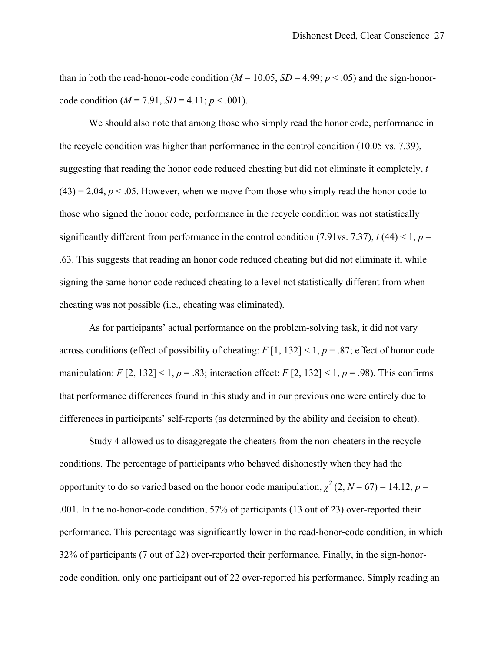than in both the read-honor-code condition ( $M = 10.05$ ,  $SD = 4.99$ ;  $p < .05$ ) and the sign-honorcode condition  $(M = 7.91, SD = 4.11; p < .001)$ .

We should also note that among those who simply read the honor code, performance in the recycle condition was higher than performance in the control condition (10.05 vs. 7.39), suggesting that reading the honor code reduced cheating but did not eliminate it completely, *t*   $(43) = 2.04$ ,  $p < .05$ . However, when we move from those who simply read the honor code to those who signed the honor code, performance in the recycle condition was not statistically significantly different from performance in the control condition (7.91vs. 7.37),  $t$  (44) < 1,  $p =$ .63. This suggests that reading an honor code reduced cheating but did not eliminate it, while signing the same honor code reduced cheating to a level not statistically different from when cheating was not possible (i.e., cheating was eliminated).

As for participants' actual performance on the problem-solving task, it did not vary across conditions (effect of possibility of cheating:  $F[1, 132] < 1, p = .87$ ; effect of honor code manipulation: *F*  $[2, 132]$  < 1, *p* = .83; interaction effect: *F*  $[2, 132]$  < 1, *p* = .98). This confirms that performance differences found in this study and in our previous one were entirely due to differences in participants' self-reports (as determined by the ability and decision to cheat).

Study 4 allowed us to disaggregate the cheaters from the non-cheaters in the recycle conditions. The percentage of participants who behaved dishonestly when they had the opportunity to do so varied based on the honor code manipulation,  $\chi^2$  (2, *N* = 67) = 14.12, *p* = .001. In the no-honor-code condition, 57% of participants (13 out of 23) over-reported their performance. This percentage was significantly lower in the read-honor-code condition, in which 32% of participants (7 out of 22) over-reported their performance. Finally, in the sign-honorcode condition, only one participant out of 22 over-reported his performance. Simply reading an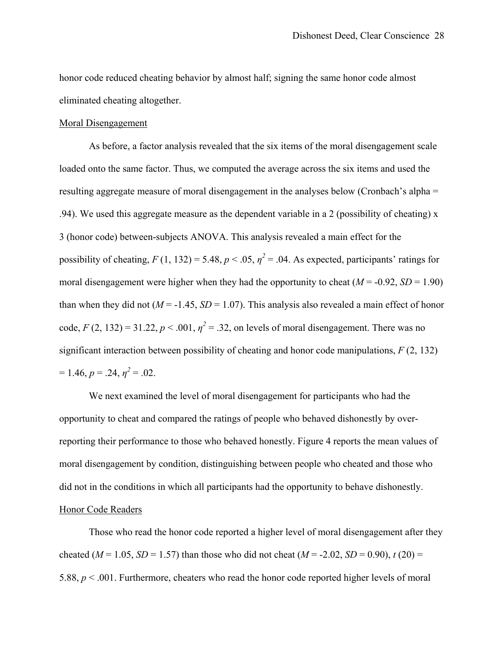honor code reduced cheating behavior by almost half; signing the same honor code almost eliminated cheating altogether.

## Moral Disengagement

As before, a factor analysis revealed that the six items of the moral disengagement scale loaded onto the same factor. Thus, we computed the average across the six items and used the resulting aggregate measure of moral disengagement in the analyses below (Cronbach's alpha = .94). We used this aggregate measure as the dependent variable in a 2 (possibility of cheating) x 3 (honor code) between-subjects ANOVA. This analysis revealed a main effect for the possibility of cheating,  $F(1, 132) = 5.48$ ,  $p < .05$ ,  $\eta^2 = .04$ . As expected, participants' ratings for moral disengagement were higher when they had the opportunity to cheat  $(M = -0.92, SD = 1.90)$ than when they did not ( $M = -1.45$ ,  $SD = 1.07$ ). This analysis also revealed a main effect of honor code,  $F(2, 132) = 31.22$ ,  $p < .001$ ,  $\eta^2 = .32$ , on levels of moral disengagement. There was no significant interaction between possibility of cheating and honor code manipulations, *F* (2, 132)  $= 1.46, p = .24, \eta^2 = .02.$ 

We next examined the level of moral disengagement for participants who had the opportunity to cheat and compared the ratings of people who behaved dishonestly by overreporting their performance to those who behaved honestly. Figure 4 reports the mean values of moral disengagement by condition, distinguishing between people who cheated and those who did not in the conditions in which all participants had the opportunity to behave dishonestly. Honor Code Readers

Those who read the honor code reported a higher level of moral disengagement after they cheated ( $M = 1.05$ ,  $SD = 1.57$ ) than those who did not cheat ( $M = -2.02$ ,  $SD = 0.90$ ),  $t(20) =$ 5.88, *p* < .001. Furthermore, cheaters who read the honor code reported higher levels of moral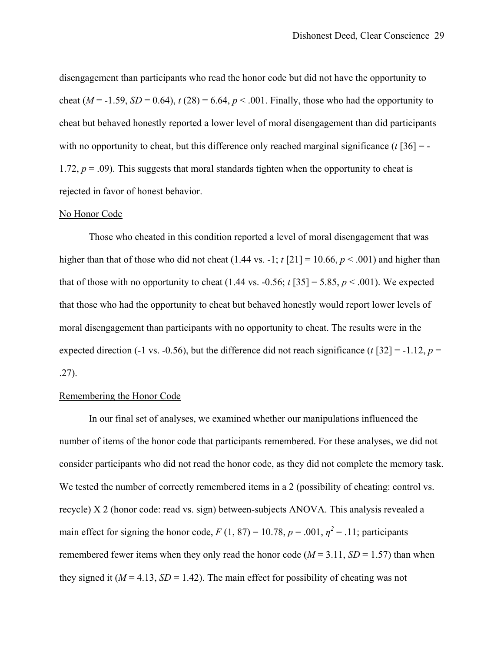disengagement than participants who read the honor code but did not have the opportunity to cheat ( $M = -1.59$ ,  $SD = 0.64$ ),  $t(28) = 6.64$ ,  $p < .001$ . Finally, those who had the opportunity to cheat but behaved honestly reported a lower level of moral disengagement than did participants with no opportunity to cheat, but this difference only reached marginal significance  $(t \, 136] = -1$ 1.72,  $p = .09$ ). This suggests that moral standards tighten when the opportunity to cheat is rejected in favor of honest behavior.

## No Honor Code

Those who cheated in this condition reported a level of moral disengagement that was higher than that of those who did not cheat  $(1.44 \text{ vs. } -1; t [21] = 10.66, p < .001)$  and higher than that of those with no opportunity to cheat (1.44 vs.  $-0.56$ ;  $t$  [35] = 5.85,  $p < .001$ ). We expected that those who had the opportunity to cheat but behaved honestly would report lower levels of moral disengagement than participants with no opportunity to cheat. The results were in the expected direction (-1 vs. -0.56), but the difference did not reach significance ( $t$  [32] = -1.12,  $p$  = .27).

## Remembering the Honor Code

In our final set of analyses, we examined whether our manipulations influenced the number of items of the honor code that participants remembered. For these analyses, we did not consider participants who did not read the honor code, as they did not complete the memory task. We tested the number of correctly remembered items in a 2 (possibility of cheating: control vs. recycle) X 2 (honor code: read vs. sign) between-subjects ANOVA. This analysis revealed a main effect for signing the honor code,  $F(1, 87) = 10.78$ ,  $p = .001$ ,  $\eta^2 = .11$ ; participants remembered fewer items when they only read the honor code ( $M = 3.11$ ,  $SD = 1.57$ ) than when they signed it  $(M = 4.13, SD = 1.42)$ . The main effect for possibility of cheating was not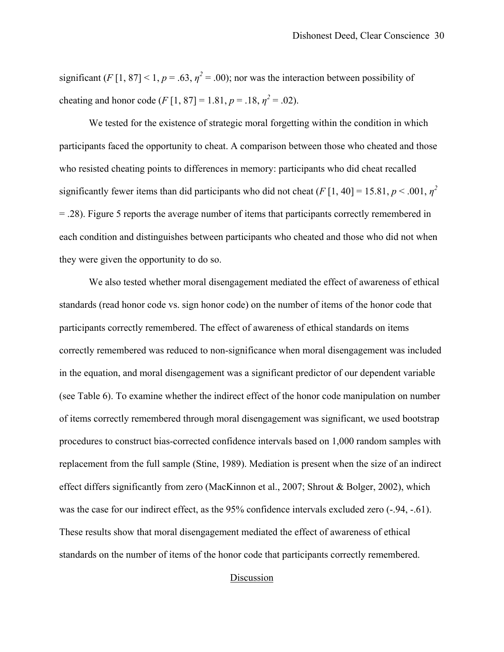significant  $(F [1, 87] < 1, p = .63, \eta^2 = .00)$ ; nor was the interaction between possibility of cheating and honor code  $(F [1, 87] = 1.81, p = .18, \eta^2 = .02)$ .

We tested for the existence of strategic moral forgetting within the condition in which participants faced the opportunity to cheat. A comparison between those who cheated and those who resisted cheating points to differences in memory: participants who did cheat recalled significantly fewer items than did participants who did not cheat  $(F [1, 40] = 15.81, p < .001, \eta^2$ = .28). Figure 5 reports the average number of items that participants correctly remembered in each condition and distinguishes between participants who cheated and those who did not when they were given the opportunity to do so.

We also tested whether moral disengagement mediated the effect of awareness of ethical standards (read honor code vs. sign honor code) on the number of items of the honor code that participants correctly remembered. The effect of awareness of ethical standards on items correctly remembered was reduced to non-significance when moral disengagement was included in the equation, and moral disengagement was a significant predictor of our dependent variable (see Table 6). To examine whether the indirect effect of the honor code manipulation on number of items correctly remembered through moral disengagement was significant, we used bootstrap procedures to construct bias-corrected confidence intervals based on 1,000 random samples with replacement from the full sample (Stine, 1989). Mediation is present when the size of an indirect effect differs significantly from zero (MacKinnon et al., 2007; Shrout & Bolger, 2002), which was the case for our indirect effect, as the 95% confidence intervals excluded zero  $(-.94, -.61)$ . These results show that moral disengagement mediated the effect of awareness of ethical standards on the number of items of the honor code that participants correctly remembered.

# Discussion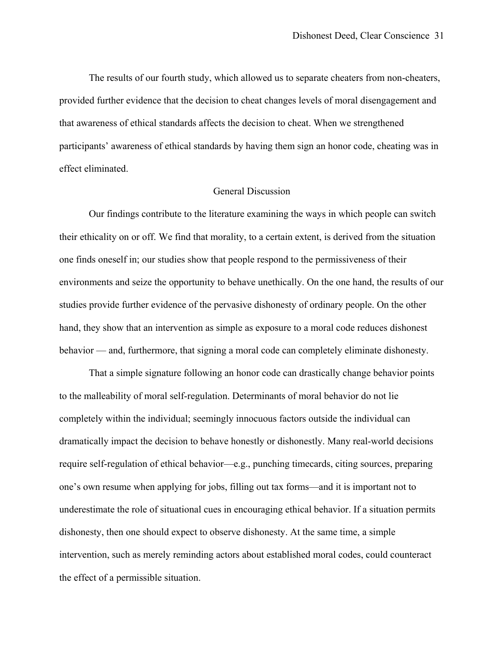The results of our fourth study, which allowed us to separate cheaters from non-cheaters, provided further evidence that the decision to cheat changes levels of moral disengagement and that awareness of ethical standards affects the decision to cheat. When we strengthened participants' awareness of ethical standards by having them sign an honor code, cheating was in effect eliminated.

## General Discussion

Our findings contribute to the literature examining the ways in which people can switch their ethicality on or off. We find that morality, to a certain extent, is derived from the situation one finds oneself in; our studies show that people respond to the permissiveness of their environments and seize the opportunity to behave unethically. On the one hand, the results of our studies provide further evidence of the pervasive dishonesty of ordinary people. On the other hand, they show that an intervention as simple as exposure to a moral code reduces dishonest behavior — and, furthermore, that signing a moral code can completely eliminate dishonesty.

That a simple signature following an honor code can drastically change behavior points to the malleability of moral self-regulation. Determinants of moral behavior do not lie completely within the individual; seemingly innocuous factors outside the individual can dramatically impact the decision to behave honestly or dishonestly. Many real-world decisions require self-regulation of ethical behavior—e.g., punching timecards, citing sources, preparing one's own resume when applying for jobs, filling out tax forms—and it is important not to underestimate the role of situational cues in encouraging ethical behavior. If a situation permits dishonesty, then one should expect to observe dishonesty. At the same time, a simple intervention, such as merely reminding actors about established moral codes, could counteract the effect of a permissible situation.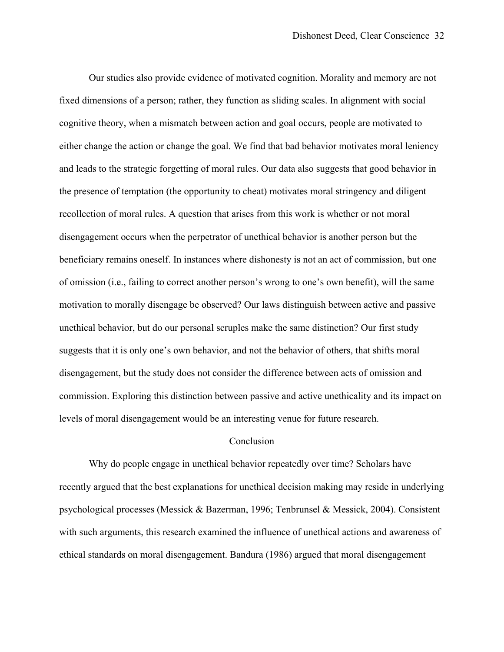Our studies also provide evidence of motivated cognition. Morality and memory are not fixed dimensions of a person; rather, they function as sliding scales. In alignment with social cognitive theory, when a mismatch between action and goal occurs, people are motivated to either change the action or change the goal. We find that bad behavior motivates moral leniency and leads to the strategic forgetting of moral rules. Our data also suggests that good behavior in the presence of temptation (the opportunity to cheat) motivates moral stringency and diligent recollection of moral rules. A question that arises from this work is whether or not moral disengagement occurs when the perpetrator of unethical behavior is another person but the beneficiary remains oneself. In instances where dishonesty is not an act of commission, but one of omission (i.e., failing to correct another person's wrong to one's own benefit), will the same motivation to morally disengage be observed? Our laws distinguish between active and passive unethical behavior, but do our personal scruples make the same distinction? Our first study suggests that it is only one's own behavior, and not the behavior of others, that shifts moral disengagement, but the study does not consider the difference between acts of omission and commission. Exploring this distinction between passive and active unethicality and its impact on levels of moral disengagement would be an interesting venue for future research.

## Conclusion

Why do people engage in unethical behavior repeatedly over time? Scholars have recently argued that the best explanations for unethical decision making may reside in underlying psychological processes (Messick & Bazerman, 1996; Tenbrunsel & Messick, 2004). Consistent with such arguments, this research examined the influence of unethical actions and awareness of ethical standards on moral disengagement. Bandura (1986) argued that moral disengagement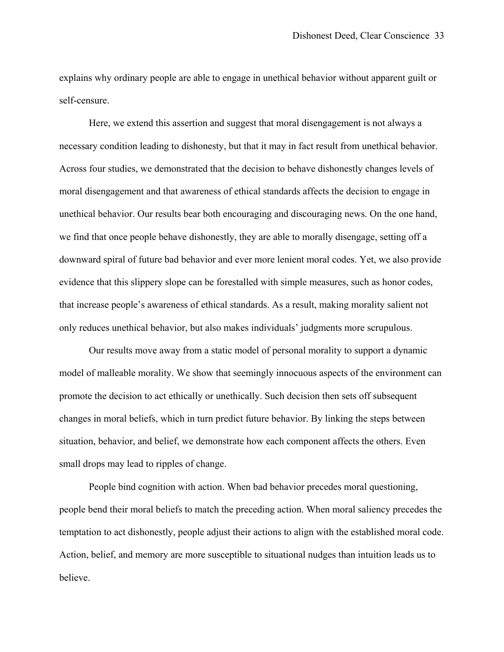explains why ordinary people are able to engage in unethical behavior without apparent guilt or self-censure.

Here, we extend this assertion and suggest that moral disengagement is not always a necessary condition leading to dishonesty, but that it may in fact result from unethical behavior. Across four studies, we demonstrated that the decision to behave dishonestly changes levels of moral disengagement and that awareness of ethical standards affects the decision to engage in unethical behavior. Our results bear both encouraging and discouraging news. On the one hand, we find that once people behave dishonestly, they are able to morally disengage, setting off a downward spiral of future bad behavior and ever more lenient moral codes. Yet, we also provide evidence that this slippery slope can be forestalled with simple measures, such as honor codes, that increase people's awareness of ethical standards. As a result, making morality salient not only reduces unethical behavior, but also makes individuals' judgments more scrupulous.

Our results move away from a static model of personal morality to support a dynamic model of malleable morality. We show that seemingly innocuous aspects of the environment can promote the decision to act ethically or unethically. Such decision then sets off subsequent changes in moral beliefs, which in turn predict future behavior. By linking the steps between situation, behavior, and belief, we demonstrate how each component affects the others. Even small drops may lead to ripples of change.

People bind cognition with action. When bad behavior precedes moral questioning, people bend their moral beliefs to match the preceding action. When moral saliency precedes the temptation to act dishonestly, people adjust their actions to align with the established moral code. Action, belief, and memory are more susceptible to situational nudges than intuition leads us to believe.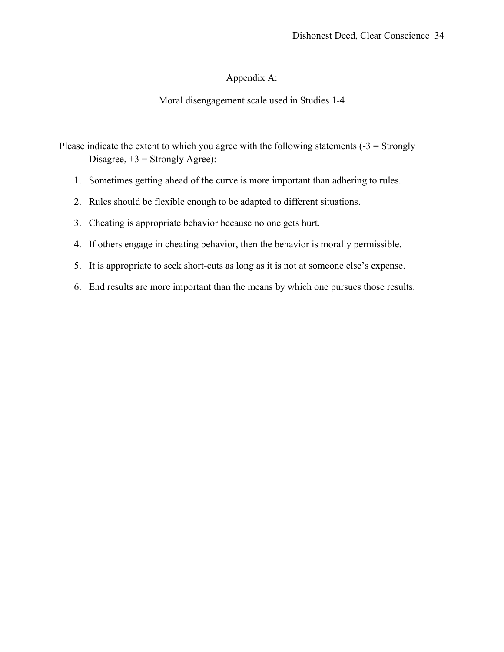# Appendix A:

Moral disengagement scale used in Studies 1-4

Please indicate the extent to which you agree with the following statements  $(-3 =$  Strongly Disagree,  $+3$  = Strongly Agree):

- 1. Sometimes getting ahead of the curve is more important than adhering to rules.
- 2. Rules should be flexible enough to be adapted to different situations.
- 3. Cheating is appropriate behavior because no one gets hurt.
- 4. If others engage in cheating behavior, then the behavior is morally permissible.
- 5. It is appropriate to seek short-cuts as long as it is not at someone else's expense.
- 6. End results are more important than the means by which one pursues those results.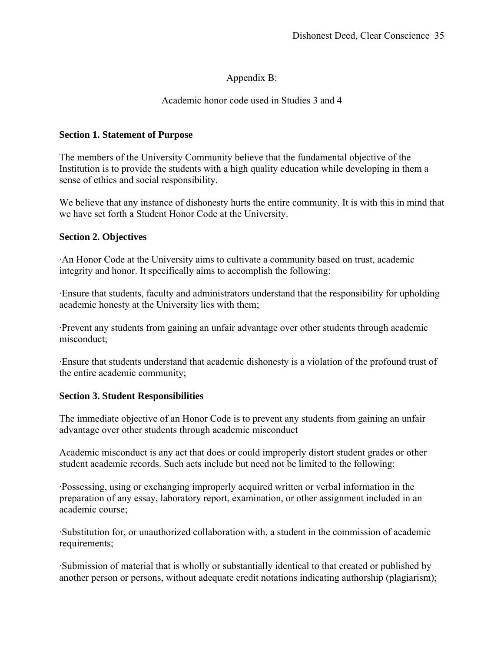# Appendix B:

# Academic honor code used in Studies 3 and 4

# **Section 1. Statement of Purpose**

The members of the University Community believe that the fundamental objective of the Institution is to provide the students with a high quality education while developing in them a sense of ethics and social responsibility.

We believe that any instance of dishonesty hurts the entire community. It is with this in mind that we have set forth a Student Honor Code at the University.

# **Section 2. Objectives**

·An Honor Code at the University aims to cultivate a community based on trust, academic integrity and honor. It specifically aims to accomplish the following:

·Ensure that students, faculty and administrators understand that the responsibility for upholding academic honesty at the University lies with them;

·Prevent any students from gaining an unfair advantage over other students through academic misconduct;

·Ensure that students understand that academic dishonesty is a violation of the profound trust of the entire academic community;

# **Section 3. Student Responsibilities**

The immediate objective of an Honor Code is to prevent any students from gaining an unfair advantage over other students through academic misconduct

Academic misconduct is any act that does or could improperly distort student grades or other student academic records. Such acts include but need not be limited to the following:

·Possessing, using or exchanging improperly acquired written or verbal information in the preparation of any essay, laboratory report, examination, or other assignment included in an academic course;

·Substitution for, or unauthorized collaboration with, a student in the commission of academic requirements;

·Submission of material that is wholly or substantially identical to that created or published by another person or persons, without adequate credit notations indicating authorship (plagiarism);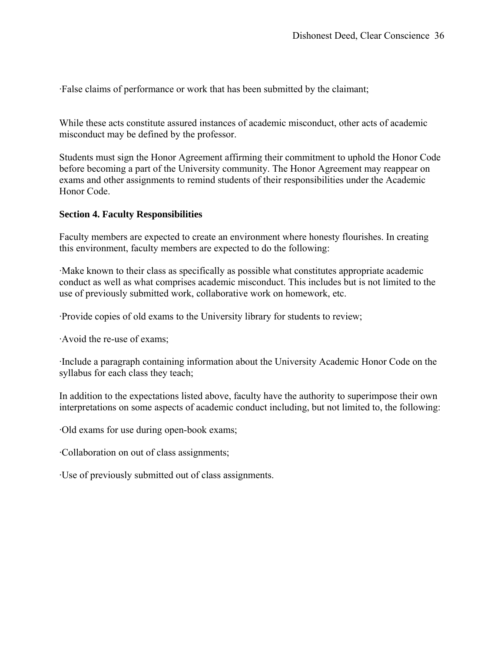·False claims of performance or work that has been submitted by the claimant;

While these acts constitute assured instances of academic misconduct, other acts of academic misconduct may be defined by the professor.

Students must sign the Honor Agreement affirming their commitment to uphold the Honor Code before becoming a part of the University community. The Honor Agreement may reappear on exams and other assignments to remind students of their responsibilities under the Academic Honor Code.

# **Section 4. Faculty Responsibilities**

Faculty members are expected to create an environment where honesty flourishes. In creating this environment, faculty members are expected to do the following:

·Make known to their class as specifically as possible what constitutes appropriate academic conduct as well as what comprises academic misconduct. This includes but is not limited to the use of previously submitted work, collaborative work on homework, etc.

·Provide copies of old exams to the University library for students to review;

·Avoid the re-use of exams;

·Include a paragraph containing information about the University Academic Honor Code on the syllabus for each class they teach;

In addition to the expectations listed above, faculty have the authority to superimpose their own interpretations on some aspects of academic conduct including, but not limited to, the following:

·Old exams for use during open-book exams;

·Collaboration on out of class assignments;

·Use of previously submitted out of class assignments.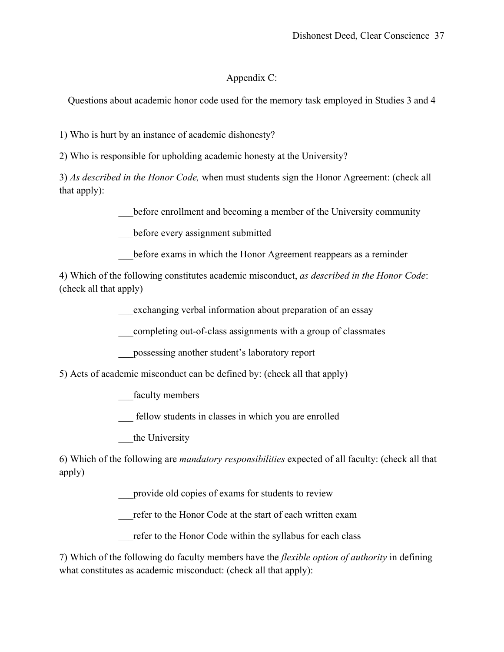# Appendix C:

Questions about academic honor code used for the memory task employed in Studies 3 and 4

1) Who is hurt by an instance of academic dishonesty?

2) Who is responsible for upholding academic honesty at the University?

3) *As described in the Honor Code,* when must students sign the Honor Agreement: (check all that apply):

\_\_\_before enrollment and becoming a member of the University community

before every assignment submitted

before exams in which the Honor Agreement reappears as a reminder

4) Which of the following constitutes academic misconduct, *as described in the Honor Code*: (check all that apply)

exchanging verbal information about preparation of an essay

\_\_\_completing out-of-class assignments with a group of classmates

\_\_\_possessing another student's laboratory report

5) Acts of academic misconduct can be defined by: (check all that apply)

faculty members

fellow students in classes in which you are enrolled

the University

6) Which of the following are *mandatory responsibilities* expected of all faculty: (check all that apply)

\_\_\_provide old copies of exams for students to review

\_\_\_refer to the Honor Code at the start of each written exam

refer to the Honor Code within the syllabus for each class

7) Which of the following do faculty members have the *flexible option of authority* in defining what constitutes as academic misconduct: (check all that apply):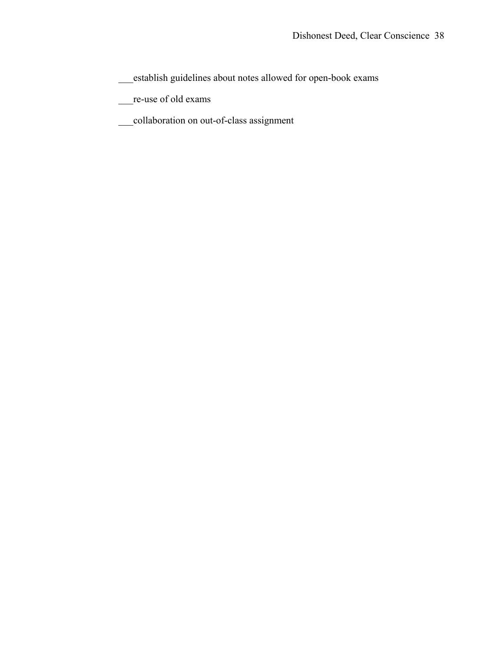\_\_\_establish guidelines about notes allowed for open-book exams

\_\_\_re-use of old exams

\_\_\_collaboration on out-of-class assignment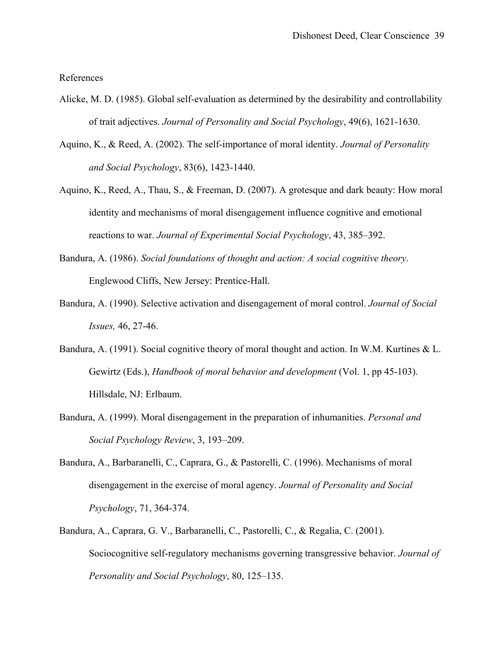References

- Alicke, M. D. (1985). Global self-evaluation as determined by the desirability and controllability of trait adjectives. *Journal of Personality and Social Psychology*, 49(6), 1621-1630.
- Aquino, K., & Reed, A. (2002). The self-importance of moral identity. *Journal of Personality and Social Psychology*, 83(6), 1423-1440.
- Aquino, K., Reed, A., Thau, S., & Freeman, D. (2007). A grotesque and dark beauty: How moral identity and mechanisms of moral disengagement influence cognitive and emotional reactions to war. *Journal of Experimental Social Psychology*, 43, 385–392.
- Bandura, A. (1986). *Social foundations of thought and action: A social cognitive theory*. Englewood Cliffs, New Jersey: Prentice-Hall.
- Bandura, A. (1990). Selective activation and disengagement of moral control. *Journal of Social Issues,* 46, 27-46.
- Bandura, A. (1991). Social cognitive theory of moral thought and action. In W.M. Kurtines & L. Gewirtz (Eds.), *Handbook of moral behavior and development* (Vol. 1, pp 45-103). Hillsdale, NJ: Erlbaum.
- Bandura, A. (1999). Moral disengagement in the preparation of inhumanities. *Personal and Social Psychology Review*, 3, 193–209.
- Bandura, A., Barbaranelli, C., Caprara, G., & Pastorelli, C. (1996). Mechanisms of moral disengagement in the exercise of moral agency. *Journal of Personality and Social Psychology*, 71, 364-374.
- Bandura, A., Caprara, G. V., Barbaranelli, C., Pastorelli, C., & Regalia, C. (2001). Sociocognitive self-regulatory mechanisms governing transgressive behavior. *Journal of Personality and Social Psychology*, 80, 125–135.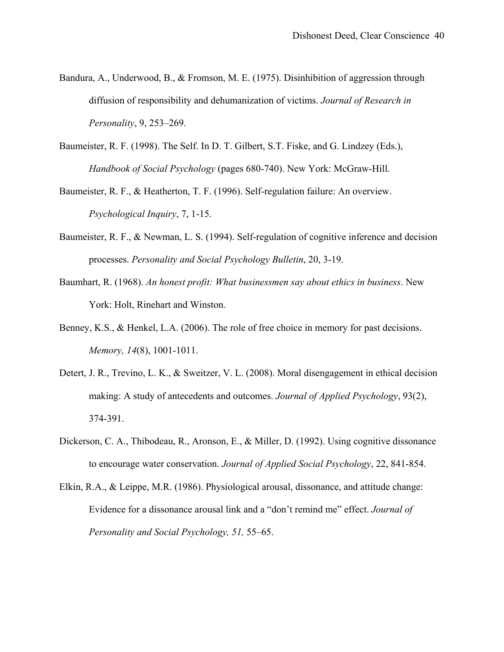- Bandura, A., Underwood, B., & Fromson, M. E. (1975). Disinhibition of aggression through diffusion of responsibility and dehumanization of victims. *Journal of Research in Personality*, 9, 253–269.
- Baumeister, R. F. (1998). The Self. In D. T. Gilbert, S.T. Fiske, and G. Lindzey (Eds.), *Handbook of Social Psychology* (pages 680-740). New York: McGraw-Hill.
- Baumeister, R. F., & Heatherton, T. F. (1996). Self-regulation failure: An overview. *Psychological Inquiry*, 7, 1-15.
- Baumeister, R. F., & Newman, L. S. (1994). Self-regulation of cognitive inference and decision processes. *Personality and Social Psychology Bulletin*, 20, 3-19.
- Baumhart, R. (1968). *An honest profit: What businessmen say about ethics in business*. New York: Holt, Rinehart and Winston.
- Benney, K.S., & Henkel, L.A. (2006). The role of free choice in memory for past decisions. *Memory, 14*(8), 1001-1011.
- Detert, J. R., Trevino, L. K., & Sweitzer, V. L. (2008). Moral disengagement in ethical decision making: A study of antecedents and outcomes. *Journal of Applied Psychology*, 93(2), 374-391.
- Dickerson, C. A., Thibodeau, R., Aronson, E., & Miller, D. (1992). Using cognitive dissonance to encourage water conservation. *Journal of Applied Social Psychology*, 22, 841-854.
- Elkin, R.A., & Leippe, M.R. (1986). Physiological arousal, dissonance, and attitude change: Evidence for a dissonance arousal link and a "don't remind me" effect. *Journal of Personality and Social Psychology, 51,* 55–65.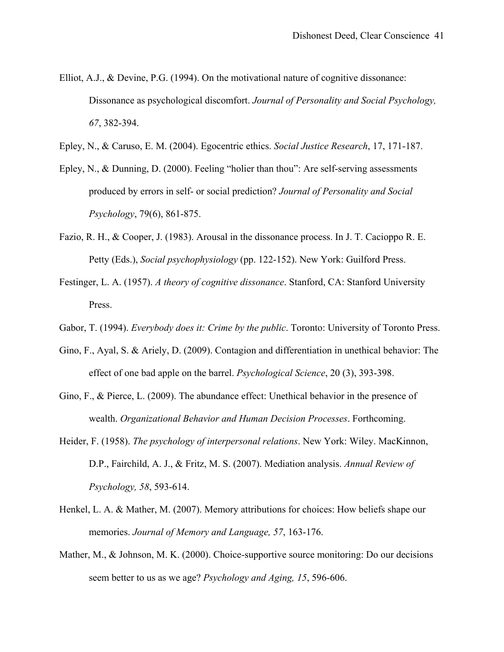- Elliot, A.J., & Devine, P.G. (1994). On the motivational nature of cognitive dissonance: Dissonance as psychological discomfort. *Journal of Personality and Social Psychology, 67*, 382-394.
- Epley, N., & Caruso, E. M. (2004). Egocentric ethics. *Social Justice Research*, 17, 171-187.
- Epley, N., & Dunning, D. (2000). Feeling "holier than thou": Are self-serving assessments produced by errors in self- or social prediction? *Journal of Personality and Social Psychology*, 79(6), 861-875.
- Fazio, R. H., & Cooper, J. (1983). Arousal in the dissonance process. In J. T. Cacioppo R. E. Petty (Eds.), *Social psychophysiology* (pp. 122-152). New York: Guilford Press.
- Festinger, L. A. (1957). *A theory of cognitive dissonance*. Stanford, CA: Stanford University Press.
- Gabor, T. (1994). *Everybody does it: Crime by the public*. Toronto: University of Toronto Press.
- Gino, F., Ayal, S. & Ariely, D. (2009). Contagion and differentiation in unethical behavior: The effect of one bad apple on the barrel. *Psychological Science*, 20 (3), 393-398.
- Gino, F., & Pierce, L. (2009). The abundance effect: Unethical behavior in the presence of wealth. *Organizational Behavior and Human Decision Processes*. Forthcoming.
- Heider, F. (1958). *The psychology of interpersonal relations*. New York: Wiley. MacKinnon, D.P., Fairchild, A. J., & Fritz, M. S. (2007). Mediation analysis. *Annual Review of Psychology, 58*, 593-614.
- Henkel, L. A. & Mather, M. (2007). Memory attributions for choices: How beliefs shape our memories. *Journal of Memory and Language, 57*, 163-176.
- Mather, M., & Johnson, M. K. (2000). Choice-supportive source monitoring: Do our decisions seem better to us as we age? *Psychology and Aging, 15*, 596-606.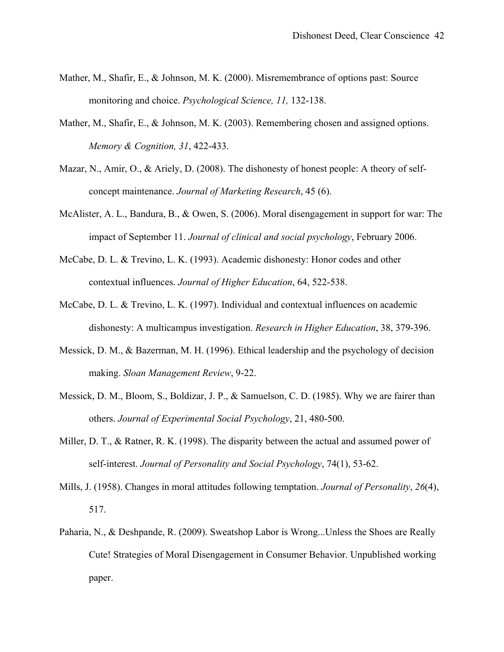- Mather, M., Shafir, E., & Johnson, M. K. (2000). Misremembrance of options past: Source monitoring and choice. *Psychological Science, 11,* 132-138.
- Mather, M., Shafir, E., & Johnson, M. K. (2003). Remembering chosen and assigned options. *Memory & Cognition, 31*, 422-433.
- Mazar, N., Amir, O., & Ariely, D. (2008). The dishonesty of honest people: A theory of selfconcept maintenance. *Journal of Marketing Research*, 45 (6).
- McAlister, A. L., Bandura, B., & Owen, S. (2006). Moral disengagement in support for war: The impact of September 11. *Journal of clinical and social psychology*, February 2006.
- McCabe, D. L. & Trevino, L. K. (1993). Academic dishonesty: Honor codes and other contextual influences. *Journal of Higher Education*, 64, 522-538.
- McCabe, D. L. & Trevino, L. K. (1997). Individual and contextual influences on academic dishonesty: A multicampus investigation. *Research in Higher Education*, 38, 379-396.
- Messick, D. M., & Bazerman, M. H. (1996). Ethical leadership and the psychology of decision making. *Sloan Management Review*, 9-22.
- Messick, D. M., Bloom, S., Boldizar, J. P., & Samuelson, C. D. (1985). Why we are fairer than others. *Journal of Experimental Social Psychology*, 21, 480-500.
- Miller, D. T., & Ratner, R. K. (1998). The disparity between the actual and assumed power of self-interest. *Journal of Personality and Social Psychology*, 74(1), 53-62.
- Mills, J. (1958). Changes in moral attitudes following temptation. *Journal of Personality*, *26*(4), 517.
- Paharia, N., & Deshpande, R. (2009). Sweatshop Labor is Wrong...Unless the Shoes are Really Cute! Strategies of Moral Disengagement in Consumer Behavior. Unpublished working paper.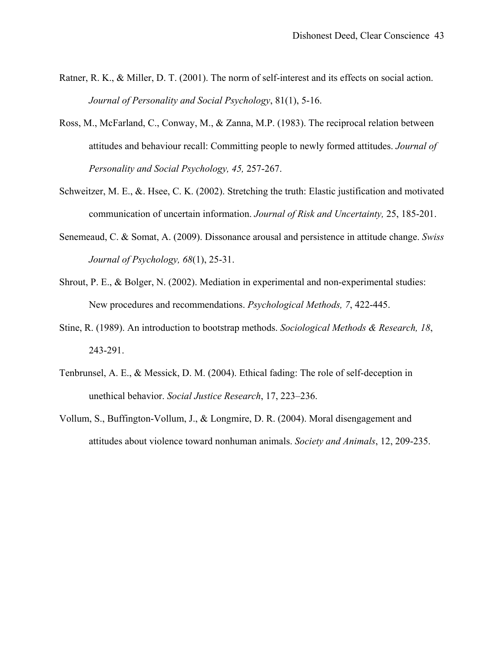- Ratner, R. K., & Miller, D. T. (2001). The norm of self-interest and its effects on social action. *Journal of Personality and Social Psychology*, 81(1), 5-16.
- Ross, M., McFarland, C., Conway, M., & Zanna, M.P. (1983). The reciprocal relation between attitudes and behaviour recall: Committing people to newly formed attitudes. *Journal of Personality and Social Psychology, 45,* 257-267.
- Schweitzer, M. E., &. Hsee, C. K. (2002). Stretching the truth: Elastic justification and motivated communication of uncertain information. *Journal of Risk and Uncertainty,* 25, 185-201.
- Senemeaud, C. & Somat, A. (2009). Dissonance arousal and persistence in attitude change. *Swiss Journal of Psychology, 68*(1), 25-31.
- Shrout, P. E., & Bolger, N. (2002). Mediation in experimental and non-experimental studies: New procedures and recommendations. *Psychological Methods, 7*, 422-445.
- Stine, R. (1989). An introduction to bootstrap methods. *Sociological Methods & Research, 18*, 243-291.
- Tenbrunsel, A. E., & Messick, D. M. (2004). Ethical fading: The role of self-deception in unethical behavior. *Social Justice Research*, 17, 223–236.
- Vollum, S., Buffington-Vollum, J., & Longmire, D. R. (2004). Moral disengagement and attitudes about violence toward nonhuman animals. *Society and Animals*, 12, 209-235.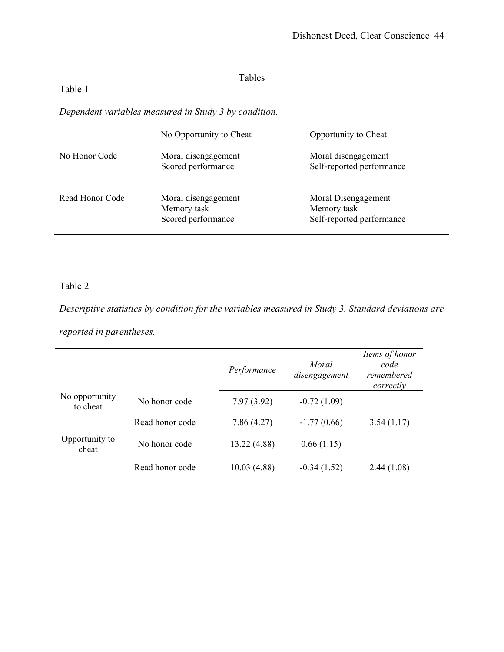# Tables

# Table 1

*Dependent variables measured in Study 3 by condition.* 

|                 | No Opportunity to Cheat                                  | Opportunity to Cheat                                            |
|-----------------|----------------------------------------------------------|-----------------------------------------------------------------|
| No Honor Code   | Moral disengagement<br>Scored performance                | Moral disengagement<br>Self-reported performance                |
| Read Honor Code | Moral disengagement<br>Memory task<br>Scored performance | Moral Disengagement<br>Memory task<br>Self-reported performance |

# Table 2

*Descriptive statistics by condition for the variables measured in Study 3. Standard deviations are* 

*reported in parentheses.* 

|                            |                 | Performance  | Moral<br>disengagement | Items of honor<br>code<br>remembered<br>correctly |
|----------------------------|-----------------|--------------|------------------------|---------------------------------------------------|
| No opportunity<br>to cheat | No honor code   | 7.97(3.92)   | $-0.72(1.09)$          |                                                   |
|                            | Read honor code | 7.86(4.27)   | $-1.77(0.66)$          | 3.54(1.17)                                        |
| Opportunity to<br>cheat    | No honor code   | 13.22 (4.88) | 0.66(1.15)             |                                                   |
|                            | Read honor code | 10.03(4.88)  | $-0.34(1.52)$          | 2.44(1.08)                                        |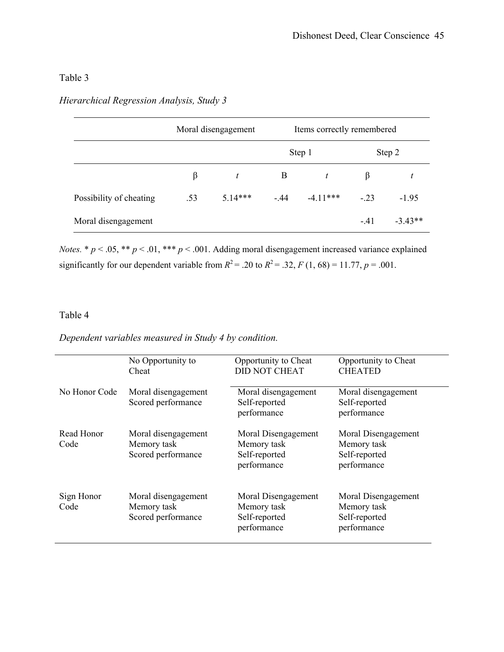# Table 3

# *Hierarchical Regression Analysis, Study 3*

|                         | Moral disengagement |           | Items correctly remembered |                |        |           |
|-------------------------|---------------------|-----------|----------------------------|----------------|--------|-----------|
|                         |                     |           | Step 1                     |                | Step 2 |           |
|                         | β                   | t         | B                          | $\mathfrak{t}$ | B      |           |
| Possibility of cheating | .53                 | $5.14***$ | $-.44$                     | $-4.11***$     | $-.23$ | $-1.95$   |
| Moral disengagement     |                     |           |                            |                | $-.41$ | $-3.43**$ |

*Notes.*  $* p < .05$ ,  $** p < .01$ ,  $*** p < .001$ . Adding moral disengagement increased variance explained significantly for our dependent variable from  $R^2 = .20$  to  $R^2 = .32$ ,  $F(1, 68) = 11.77$ ,  $p = .001$ .

# Table 4

# *Dependent variables measured in Study 4 by condition.*

|                    | No Opportunity to<br>Cheat                               | Opportunity to Cheat<br><b>DID NOT CHEAT</b>                       | Opportunity to Cheat<br><b>CHEATED</b>                             |  |  |
|--------------------|----------------------------------------------------------|--------------------------------------------------------------------|--------------------------------------------------------------------|--|--|
| No Honor Code      | Moral disengagement<br>Scored performance                | Moral disengagement<br>Self-reported<br>performance                | Moral disengagement<br>Self-reported<br>performance                |  |  |
| Read Honor<br>Code | Moral disengagement<br>Memory task<br>Scored performance | Moral Disengagement<br>Memory task<br>Self-reported<br>performance | Moral Disengagement<br>Memory task<br>Self-reported<br>performance |  |  |
| Sign Honor<br>Code | Moral disengagement<br>Memory task<br>Scored performance | Moral Disengagement<br>Memory task<br>Self-reported<br>performance | Moral Disengagement<br>Memory task<br>Self-reported<br>performance |  |  |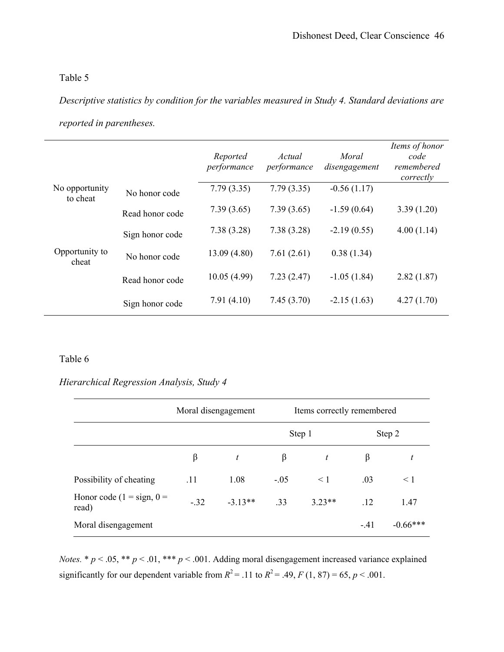# Table 5

*Descriptive statistics by condition for the variables measured in Study 4. Standard deviations are* 

|                            |                 | Reported<br>performance | Actual<br>performance | Moral<br>disengagement | Items of honor<br>code<br>remembered<br>correctly |
|----------------------------|-----------------|-------------------------|-----------------------|------------------------|---------------------------------------------------|
| No opportunity<br>to cheat | No honor code   | 7.79(3.35)              | 7.79(3.35)            | $-0.56(1.17)$          |                                                   |
|                            | Read honor code | 7.39(3.65)              | 7.39(3.65)            | $-1.59(0.64)$          | 3.39(1.20)                                        |
|                            | Sign honor code | 7.38(3.28)              | 7.38(3.28)            | $-2.19(0.55)$          | 4.00(1.14)                                        |
| Opportunity to<br>cheat    | No honor code   | 13.09(4.80)             | 7.61(2.61)            | 0.38(1.34)             |                                                   |
|                            | Read honor code | 10.05(4.99)             | 7.23(2.47)            | $-1.05(1.84)$          | 2.82(1.87)                                        |
|                            | Sign honor code | 7.91(4.10)              | 7.45(3.70)            | $-2.15(1.63)$          | 4.27(1.70)                                        |

# Table 6

*Hierarchical Regression Analysis, Study 4* 

|                                      | Moral disengagement |                  | Items correctly remembered |          |        |            |
|--------------------------------------|---------------------|------------------|----------------------------|----------|--------|------------|
|                                      |                     |                  | Step 1                     |          | Step 2 |            |
|                                      | β                   | $\boldsymbol{t}$ | β                          | t        | β      | t          |
| Possibility of cheating              | .11                 | 1.08             | $-.05$                     | $\leq 1$ | .03    | $\leq$ 1   |
| Honor code $(1 = sign, 0 =$<br>read) | $-.32$              | $-3.13**$        | .33                        | $3.23**$ | .12    | 1.47       |
| Moral disengagement                  |                     |                  |                            |          | $-41$  | $-0.66***$ |

*Notes.* \*  $p < .05$ , \*\*  $p < .01$ , \*\*\*  $p < .001$ . Adding moral disengagement increased variance explained significantly for our dependent variable from  $R^2$  = .11 to  $R^2$  = .49,  $F(1, 87)$  = 65,  $p$  < .001.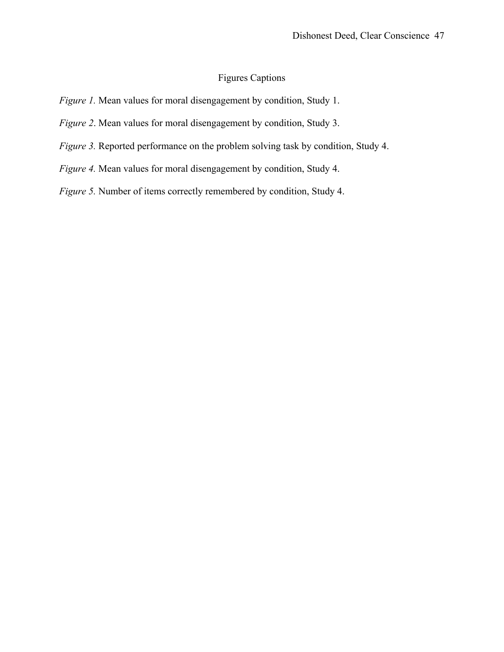# Figures Captions

- *Figure 1.* Mean values for moral disengagement by condition, Study 1.
- *Figure 2*. Mean values for moral disengagement by condition, Study 3.
- *Figure 3.* Reported performance on the problem solving task by condition, Study 4.
- *Figure 4.* Mean values for moral disengagement by condition, Study 4.

*Figure 5.* Number of items correctly remembered by condition, Study 4.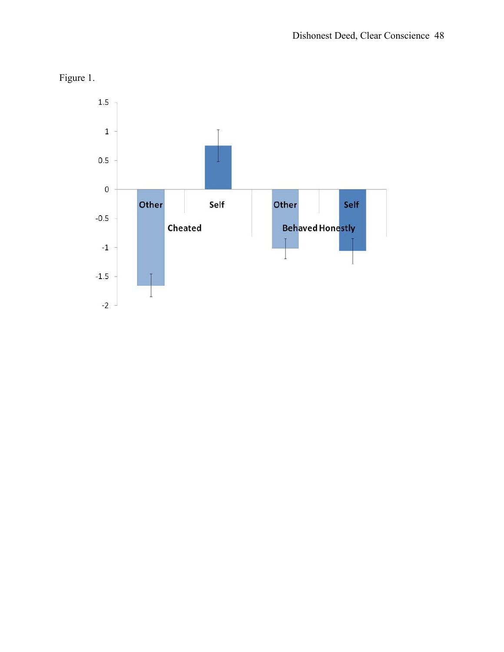

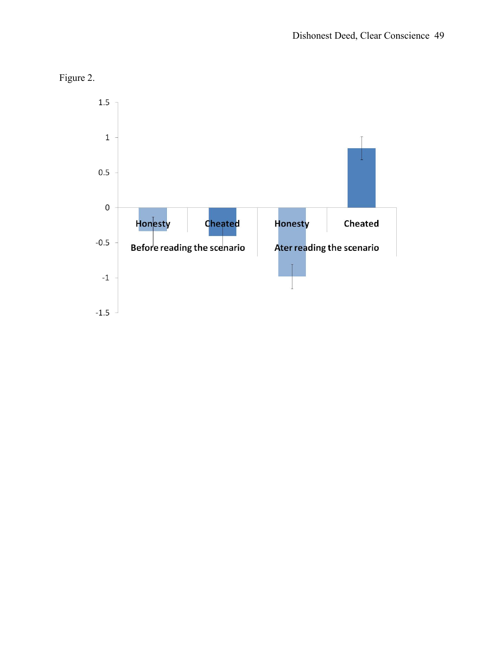

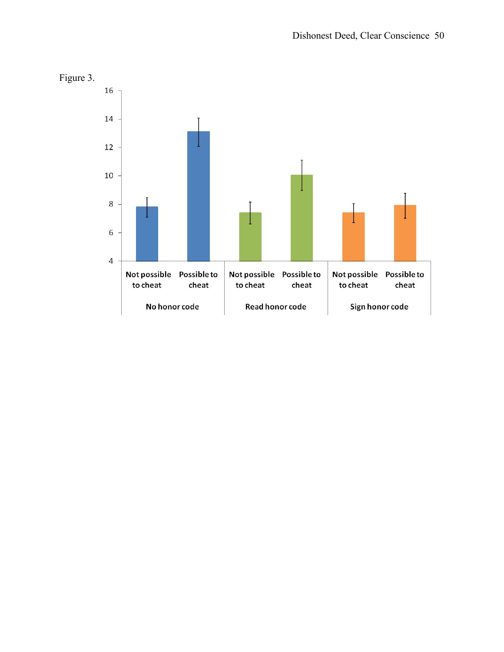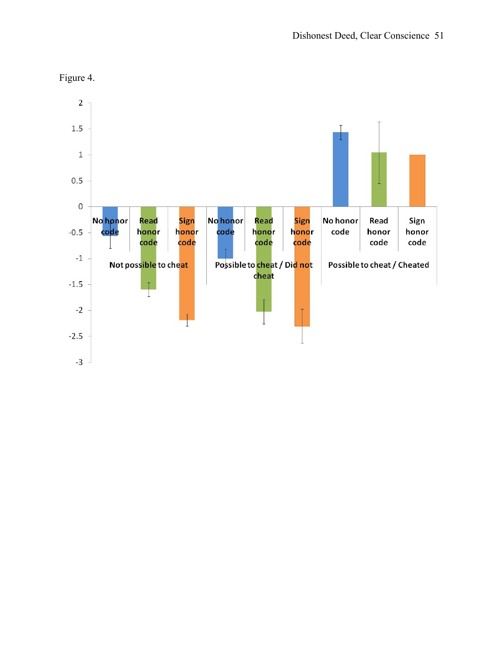